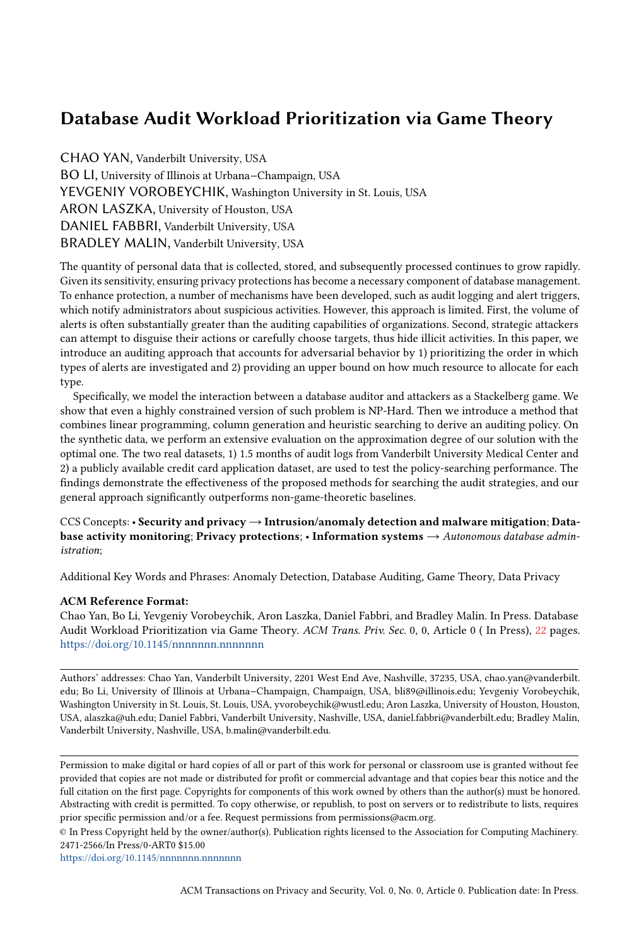# Database Audit Workload Prioritization via Game Theory

CHAO YAN, Vanderbilt University, USA BO LI, University of Illinois at Urbana−Champaign, USA YEVGENIY VOROBEYCHIK, Washington University in St. Louis, USA ARON LASZKA, University of Houston, USA DANIEL FABBRI, Vanderbilt University, USA BRADLEY MALIN, Vanderbilt University, USA

The quantity of personal data that is collected, stored, and subsequently processed continues to grow rapidly. Given its sensitivity, ensuring privacy protections has become a necessary component of database management. To enhance protection, a number of mechanisms have been developed, such as audit logging and alert triggers, which notify administrators about suspicious activities. However, this approach is limited. First, the volume of alerts is often substantially greater than the auditing capabilities of organizations. Second, strategic attackers can attempt to disguise their actions or carefully choose targets, thus hide illicit activities. In this paper, we introduce an auditing approach that accounts for adversarial behavior by 1) prioritizing the order in which types of alerts are investigated and 2) providing an upper bound on how much resource to allocate for each type.

Specifically, we model the interaction between a database auditor and attackers as a Stackelberg game. We show that even a highly constrained version of such problem is NP-Hard. Then we introduce a method that combines linear programming, column generation and heuristic searching to derive an auditing policy. On the synthetic data, we perform an extensive evaluation on the approximation degree of our solution with the optimal one. The two real datasets, 1) 1.5 months of audit logs from Vanderbilt University Medical Center and 2) a publicly available credit card application dataset, are used to test the policy-searching performance. The findings demonstrate the effectiveness of the proposed methods for searching the audit strategies, and our general approach significantly outperforms non-game-theoretic baselines.

CCS Concepts: • Security and privacy → Intrusion/anomaly detection and malware mitigation; Database activity monitoring; Privacy protections; • Information systems  $\rightarrow$  Autonomous database administration;

Additional Key Words and Phrases: Anomaly Detection, Database Auditing, Game Theory, Data Privacy

### ACM Reference Format:

Chao Yan, Bo Li, Yevgeniy Vorobeychik, Aron Laszka, Daniel Fabbri, and Bradley Malin. In Press. Database Audit Workload Prioritization via Game Theory. ACM Trans. Priv. Sec. 0, 0, Article 0 ( In Press), [22](#page-21-0) pages. <https://doi.org/10.1145/nnnnnnn.nnnnnnn>

Authors' addresses: Chao Yan, Vanderbilt University, 2201 West End Ave, Nashville, 37235, USA, chao.yan@vanderbilt. edu; Bo Li, University of Illinois at Urbana−Champaign, Champaign, USA, bli89@illinois.edu; Yevgeniy Vorobeychik, Washington University in St. Louis, St. Louis, USA, yvorobeychik@wustl.edu; Aron Laszka, University of Houston, Houston, USA, alaszka@uh.edu; Daniel Fabbri, Vanderbilt University, Nashville, USA, daniel.fabbri@vanderbilt.edu; Bradley Malin, Vanderbilt University, Nashville, USA, b.malin@vanderbilt.edu.

Permission to make digital or hard copies of all or part of this work for personal or classroom use is granted without fee provided that copies are not made or distributed for profit or commercial advantage and that copies bear this notice and the full citation on the first page. Copyrights for components of this work owned by others than the author(s) must be honored. Abstracting with credit is permitted. To copy otherwise, or republish, to post on servers or to redistribute to lists, requires prior specific permission and/or a fee. Request permissions from permissions@acm.org.

© In Press Copyright held by the owner/author(s). Publication rights licensed to the Association for Computing Machinery. 2471-2566/In Press/0-ART0 \$15.00

<https://doi.org/10.1145/nnnnnnn.nnnnnnn>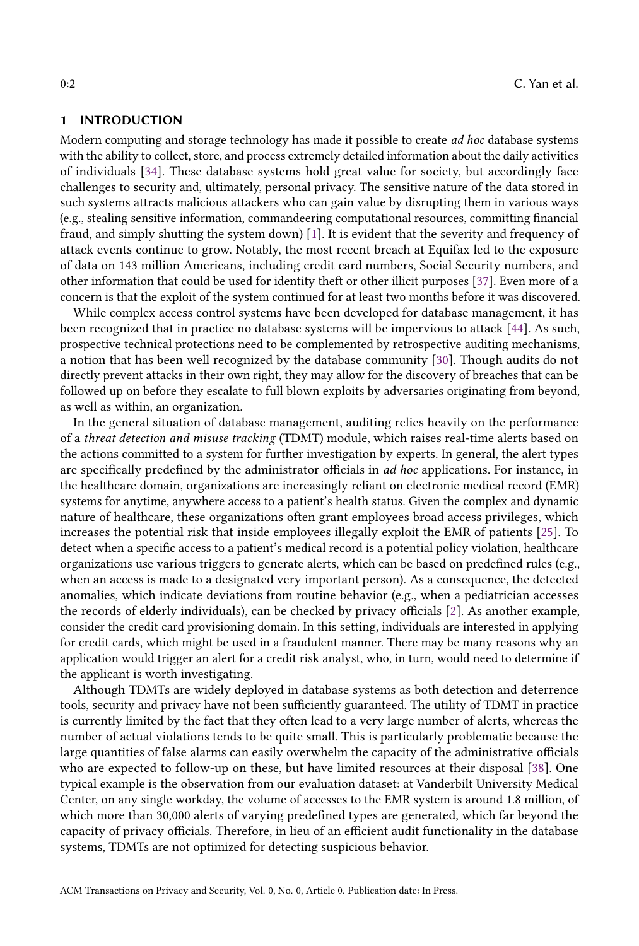# 1 INTRODUCTION

Modern computing and storage technology has made it possible to create *ad hoc* database systems with the ability to collect, store, and process extremely detailed information about the daily activities of individuals [\[34\]](#page-20-0). These database systems hold great value for society, but accordingly face challenges to security and, ultimately, personal privacy. The sensitive nature of the data stored in such systems attracts malicious attackers who can gain value by disrupting them in various ways (e.g., stealing sensitive information, commandeering computational resources, committing financial fraud, and simply shutting the system down) [\[1\]](#page-19-0). It is evident that the severity and frequency of attack events continue to grow. Notably, the most recent breach at Equifax led to the exposure of data on 143 million Americans, including credit card numbers, Social Security numbers, and other information that could be used for identity theft or other illicit purposes [\[37\]](#page-20-1). Even more of a concern is that the exploit of the system continued for at least two months before it was discovered.

While complex access control systems have been developed for database management, it has been recognized that in practice no database systems will be impervious to attack [\[44\]](#page-20-2). As such, prospective technical protections need to be complemented by retrospective auditing mechanisms, a notion that has been well recognized by the database community [\[30\]](#page-20-3). Though audits do not directly prevent attacks in their own right, they may allow for the discovery of breaches that can be followed up on before they escalate to full blown exploits by adversaries originating from beyond, as well as within, an organization.

In the general situation of database management, auditing relies heavily on the performance of a threat detection and misuse tracking (TDMT) module, which raises real-time alerts based on the actions committed to a system for further investigation by experts. In general, the alert types are specifically predefined by the administrator officials in *ad hoc* applications. For instance, in the healthcare domain, organizations are increasingly reliant on electronic medical record (EMR) systems for anytime, anywhere access to a patient's health status. Given the complex and dynamic nature of healthcare, these organizations often grant employees broad access privileges, which increases the potential risk that inside employees illegally exploit the EMR of patients [\[25\]](#page-20-4). To detect when a specific access to a patient's medical record is a potential policy violation, healthcare organizations use various triggers to generate alerts, which can be based on predefined rules (e.g., when an access is made to a designated very important person). As a consequence, the detected anomalies, which indicate deviations from routine behavior (e.g., when a pediatrician accesses the records of elderly individuals), can be checked by privacy officials [\[2\]](#page-19-1). As another example, consider the credit card provisioning domain. In this setting, individuals are interested in applying for credit cards, which might be used in a fraudulent manner. There may be many reasons why an application would trigger an alert for a credit risk analyst, who, in turn, would need to determine if the applicant is worth investigating.

Although TDMTs are widely deployed in database systems as both detection and deterrence tools, security and privacy have not been sufficiently guaranteed. The utility of TDMT in practice is currently limited by the fact that they often lead to a very large number of alerts, whereas the number of actual violations tends to be quite small. This is particularly problematic because the large quantities of false alarms can easily overwhelm the capacity of the administrative officials who are expected to follow-up on these, but have limited resources at their disposal [\[38\]](#page-20-5). One typical example is the observation from our evaluation dataset: at Vanderbilt University Medical Center, on any single workday, the volume of accesses to the EMR system is around 1.8 million, of which more than 30,000 alerts of varying predefined types are generated, which far beyond the capacity of privacy officials. Therefore, in lieu of an efficient audit functionality in the database systems, TDMTs are not optimized for detecting suspicious behavior.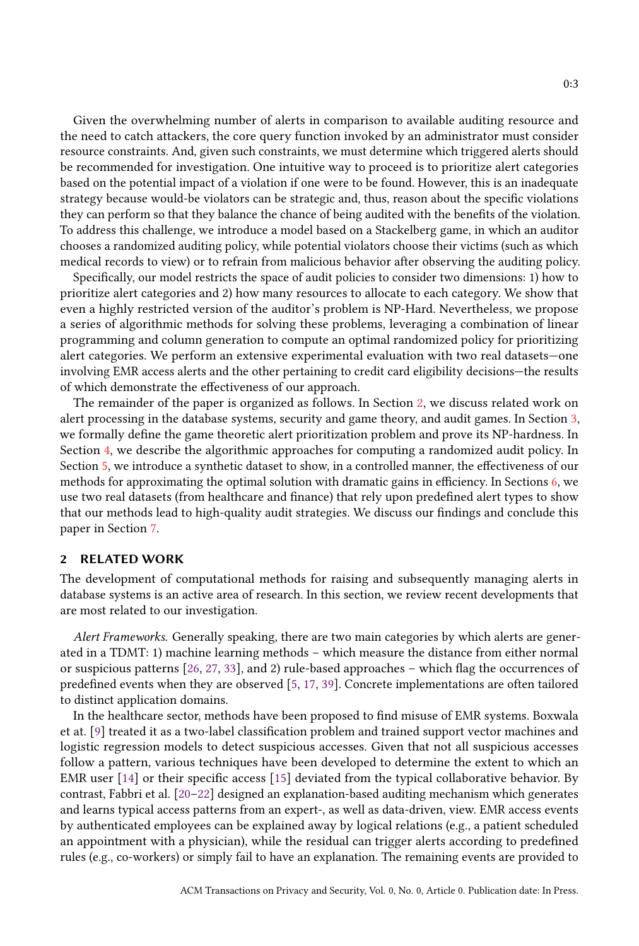Given the overwhelming number of alerts in comparison to available auditing resource and the need to catch attackers, the core query function invoked by an administrator must consider resource constraints. And, given such constraints, we must determine which triggered alerts should be recommended for investigation. One intuitive way to proceed is to prioritize alert categories based on the potential impact of a violation if one were to be found. However, this is an inadequate strategy because would-be violators can be strategic and, thus, reason about the specific violations they can perform so that they balance the chance of being audited with the benefits of the violation. To address this challenge, we introduce a model based on a Stackelberg game, in which an auditor chooses a randomized auditing policy, while potential violators choose their victims (such as which medical records to view) or to refrain from malicious behavior after observing the auditing policy.

Specifically, our model restricts the space of audit policies to consider two dimensions: 1) how to prioritize alert categories and 2) how many resources to allocate to each category. We show that even a highly restricted version of the auditor's problem is NP-Hard. Nevertheless, we propose a series of algorithmic methods for solving these problems, leveraging a combination of linear programming and column generation to compute an optimal randomized policy for prioritizing alert categories. We perform an extensive experimental evaluation with two real datasets—one involving EMR access alerts and the other pertaining to credit card eligibility decisions—the results of which demonstrate the effectiveness of our approach.

The remainder of the paper is organized as follows. In Section [2,](#page-2-0) we discuss related work on alert processing in the database systems, security and game theory, and audit games. In Section [3,](#page-4-0) we formally define the game theoretic alert prioritization problem and prove its NP-hardness. In Section [4,](#page-8-0) we describe the algorithmic approaches for computing a randomized audit policy. In Section [5,](#page-9-0) we introduce a synthetic dataset to show, in a controlled manner, the effectiveness of our methods for approximating the optimal solution with dramatic gains in efficiency. In Sections [6,](#page-13-0) we use two real datasets (from healthcare and finance) that rely upon predefined alert types to show that our methods lead to high-quality audit strategies. We discuss our findings and conclude this paper in Section [7.](#page-18-0)

# <span id="page-2-0"></span>2 RELATED WORK

The development of computational methods for raising and subsequently managing alerts in database systems is an active area of research. In this section, we review recent developments that are most related to our investigation.

Alert Frameworks. Generally speaking, there are two main categories by which alerts are generated in a TDMT: 1) machine learning methods – which measure the distance from either normal or suspicious patterns [\[26,](#page-20-6) [27,](#page-20-7) [33\]](#page-20-8), and 2) rule-based approaches – which flag the occurrences of predefined events when they are observed [\[5,](#page-19-2) [17,](#page-19-3) [39\]](#page-20-9). Concrete implementations are often tailored to distinct application domains.

In the healthcare sector, methods have been proposed to find misuse of EMR systems. Boxwala et at. [\[9\]](#page-19-4) treated it as a two-label classification problem and trained support vector machines and logistic regression models to detect suspicious accesses. Given that not all suspicious accesses follow a pattern, various techniques have been developed to determine the extent to which an EMR user [\[14\]](#page-19-5) or their specific access [\[15\]](#page-19-6) deviated from the typical collaborative behavior. By contrast, Fabbri et al. [\[20](#page-19-7)[–22\]](#page-19-8) designed an explanation-based auditing mechanism which generates and learns typical access patterns from an expert-, as well as data-driven, view. EMR access events by authenticated employees can be explained away by logical relations (e.g., a patient scheduled an appointment with a physician), while the residual can trigger alerts according to predefined rules (e.g., co-workers) or simply fail to have an explanation. The remaining events are provided to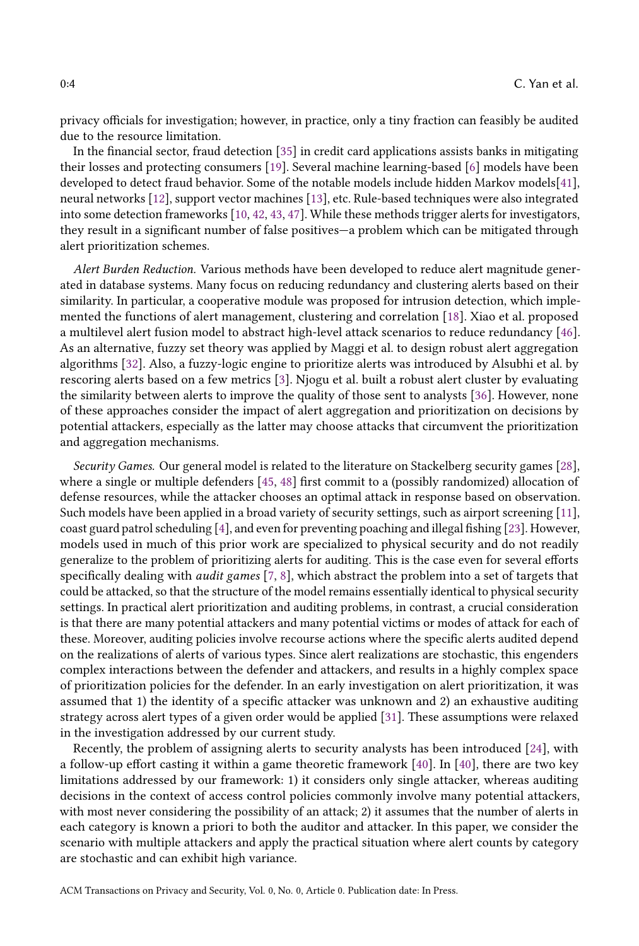privacy officials for investigation; however, in practice, only a tiny fraction can feasibly be audited due to the resource limitation.

In the financial sector, fraud detection [\[35\]](#page-20-10) in credit card applications assists banks in mitigating their losses and protecting consumers [\[19\]](#page-19-9). Several machine learning-based [\[6\]](#page-19-10) models have been developed to detect fraud behavior. Some of the notable models include hidden Markov models[\[41\]](#page-20-11), neural networks [\[12\]](#page-19-11), support vector machines [\[13\]](#page-19-12), etc. Rule-based techniques were also integrated into some detection frameworks [\[10,](#page-19-13) [42,](#page-20-12) [43,](#page-20-13) [47\]](#page-20-14). While these methods trigger alerts for investigators, they result in a significant number of false positives—a problem which can be mitigated through alert prioritization schemes.

Alert Burden Reduction. Various methods have been developed to reduce alert magnitude generated in database systems. Many focus on reducing redundancy and clustering alerts based on their similarity. In particular, a cooperative module was proposed for intrusion detection, which implemented the functions of alert management, clustering and correlation [\[18\]](#page-19-14). Xiao et al. proposed a multilevel alert fusion model to abstract high-level attack scenarios to reduce redundancy [\[46\]](#page-20-15). As an alternative, fuzzy set theory was applied by Maggi et al. to design robust alert aggregation algorithms [\[32\]](#page-20-16). Also, a fuzzy-logic engine to prioritize alerts was introduced by Alsubhi et al. by rescoring alerts based on a few metrics [\[3\]](#page-19-15). Njogu et al. built a robust alert cluster by evaluating the similarity between alerts to improve the quality of those sent to analysts [\[36\]](#page-20-17). However, none of these approaches consider the impact of alert aggregation and prioritization on decisions by potential attackers, especially as the latter may choose attacks that circumvent the prioritization and aggregation mechanisms.

Security Games. Our general model is related to the literature on Stackelberg security games [\[28\]](#page-20-18), where a single or multiple defenders [\[45,](#page-20-19) [48\]](#page-21-1) first commit to a (possibly randomized) allocation of defense resources, while the attacker chooses an optimal attack in response based on observation. Such models have been applied in a broad variety of security settings, such as airport screening [\[11\]](#page-19-16), coast guard patrol scheduling [\[4\]](#page-19-17), and even for preventing poaching and illegal fishing [\[23\]](#page-19-18). However, models used in much of this prior work are specialized to physical security and do not readily generalize to the problem of prioritizing alerts for auditing. This is the case even for several efforts specifically dealing with *audit games*  $[7, 8]$  $[7, 8]$  $[7, 8]$ , which abstract the problem into a set of targets that could be attacked, so that the structure of the model remains essentially identical to physical security settings. In practical alert prioritization and auditing problems, in contrast, a crucial consideration is that there are many potential attackers and many potential victims or modes of attack for each of these. Moreover, auditing policies involve recourse actions where the specific alerts audited depend on the realizations of alerts of various types. Since alert realizations are stochastic, this engenders complex interactions between the defender and attackers, and results in a highly complex space of prioritization policies for the defender. In an early investigation on alert prioritization, it was assumed that 1) the identity of a specific attacker was unknown and 2) an exhaustive auditing strategy across alert types of a given order would be applied [\[31\]](#page-20-20). These assumptions were relaxed in the investigation addressed by our current study.

Recently, the problem of assigning alerts to security analysts has been introduced [\[24\]](#page-20-21), with a follow-up effort casting it within a game theoretic framework [\[40\]](#page-20-22). In [\[40\]](#page-20-22), there are two key limitations addressed by our framework: 1) it considers only single attacker, whereas auditing decisions in the context of access control policies commonly involve many potential attackers, with most never considering the possibility of an attack; 2) it assumes that the number of alerts in each category is known a priori to both the auditor and attacker. In this paper, we consider the scenario with multiple attackers and apply the practical situation where alert counts by category are stochastic and can exhibit high variance.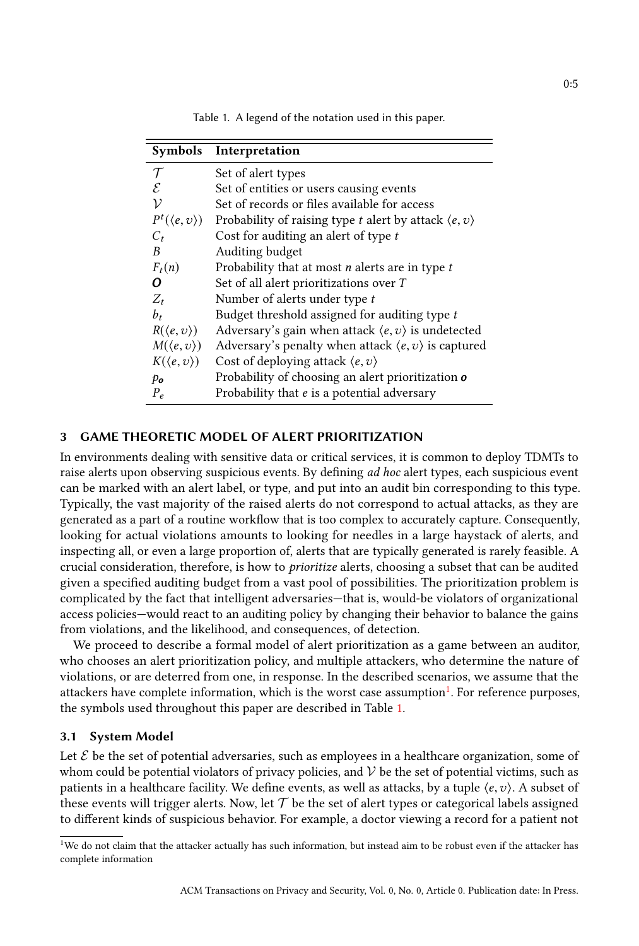<span id="page-4-2"></span>

| $\tau$<br>Set of alert types<br>E<br>Set of entities or users causing events<br>ν<br>Set of records or files available for access |
|-----------------------------------------------------------------------------------------------------------------------------------|
|                                                                                                                                   |
|                                                                                                                                   |
|                                                                                                                                   |
| $P^t(\langle e,v\rangle)$<br>Probability of raising type t alert by attack $\langle e, v \rangle$                                 |
| Cost for auditing an alert of type t<br>$C_t$                                                                                     |
| Auditing budget<br>B                                                                                                              |
| $F_t(n)$<br>Probability that at most $n$ alerts are in type $t$                                                                   |
| Set of all alert prioritizations over T<br>Ω                                                                                      |
| Number of alerts under type t<br>$Z_t$                                                                                            |
| $b_t$<br>Budget threshold assigned for auditing type t                                                                            |
| Adversary's gain when attack $\langle e, v \rangle$ is undetected<br>$R(\langle e,v \rangle)$                                     |
| $M(\langle e,v \rangle)$<br>Adversary's penalty when attack $\langle e, v \rangle$ is captured                                    |
| $K(\langle e,v \rangle)$<br>Cost of deploying attack $\langle e, v \rangle$                                                       |
| Probability of choosing an alert prioritization o<br>$p_{o}$                                                                      |
| Probability that e is a potential adversary<br>$P_e$                                                                              |

Table 1. A legend of the notation used in this paper.

# <span id="page-4-0"></span>3 GAME THEORETIC MODEL OF ALERT PRIORITIZATION

In environments dealing with sensitive data or critical services, it is common to deploy TDMTs to raise alerts upon observing suspicious events. By defining ad hoc alert types, each suspicious event can be marked with an alert label, or type, and put into an audit bin corresponding to this type. Typically, the vast majority of the raised alerts do not correspond to actual attacks, as they are generated as a part of a routine workflow that is too complex to accurately capture. Consequently, looking for actual violations amounts to looking for needles in a large haystack of alerts, and inspecting all, or even a large proportion of, alerts that are typically generated is rarely feasible. A crucial consideration, therefore, is how to prioritize alerts, choosing a subset that can be audited given a specified auditing budget from a vast pool of possibilities. The prioritization problem is complicated by the fact that intelligent adversaries—that is, would-be violators of organizational access policies—would react to an auditing policy by changing their behavior to balance the gains from violations, and the likelihood, and consequences, of detection.

We proceed to describe a formal model of alert prioritization as a game between an auditor, who chooses an alert prioritization policy, and multiple attackers, who determine the nature of violations, or are deterred from one, in response. In the described scenarios, we assume that the attackers have complete information, which is the worst case assumption<sup>[1](#page-4-1)</sup>. For reference purposes, the symbols used throughout this paper are described in Table [1.](#page-4-2)

### 3.1 System Model

Let  $\mathcal E$  be the set of potential adversaries, such as employees in a healthcare organization, some of whom could be potential violators of privacy policies, and  $\mathcal V$  be the set of potential victims, such as patients in a healthcare facility. We define events, as well as attacks, by a tuple  $\langle e, v \rangle$ . A subset of these events will trigger alerts. Now, let  $\mathcal T$  be the set of alert types or categorical labels assigned to different kinds of suspicious behavior. For example, a doctor viewing a record for a patient not

<span id="page-4-1"></span><sup>1</sup>We do not claim that the attacker actually has such information, but instead aim to be robust even if the attacker has complete information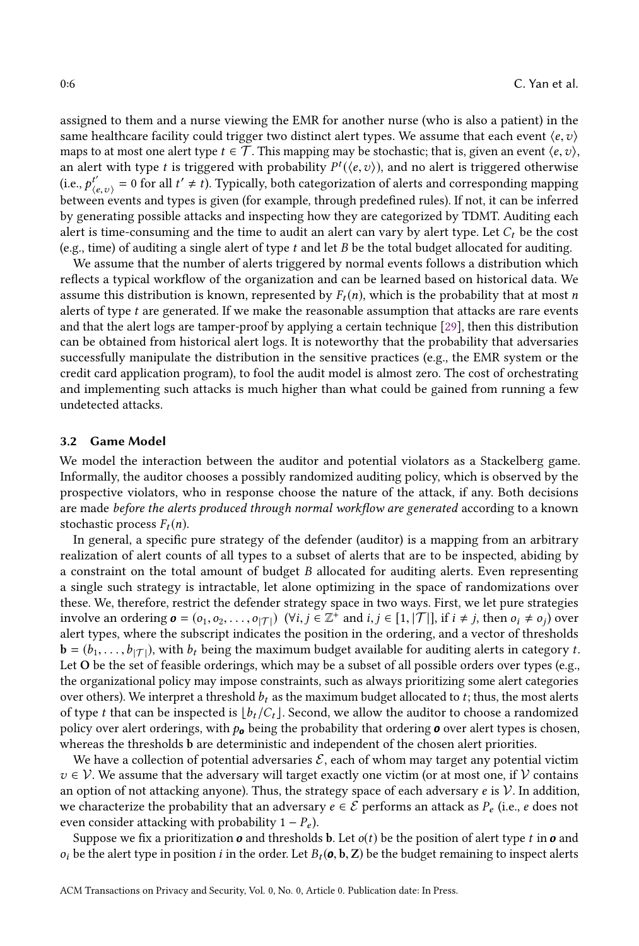assigned to them and a nurse viewing the EMR for another nurse (who is also a patient) in the same healthcare facility could trigger two distinct alert types. We assume that each event  $\langle e, v \rangle$ maps to at most one alert type  $t \in \mathcal{T}$ . This mapping may be stochastic; that is, given an event  $\langle e, v \rangle$ , an alert with type t is triggered with probability  $P^t(\langle e, v \rangle)$ , and no alert is triggered otherwise (i.e.,  $p'_{(\epsilon, v)} = 0$  for all  $t' \neq t$ ). Typically, both categorization of alerts and corresponding mapping  $\langle A, L, P_{\langle e, v \rangle} \rangle$  = 0 for an  $i \neq i$ ). Typicany, both categorization of actris and corresponding mapping<br>between events and types is given (for example, through predefined rules). If not, it can be inferred by generating possible attacks and inspecting how they are categorized by TDMT. Auditing each alert is time-consuming and the time to audit an alert can vary by alert type. Let  $C_t$  be the cost (e.g., time) of auditing a single alert of type  $t$  and let  $B$  be the total budget allocated for auditing.

We assume that the number of alerts triggered by normal events follows a distribution which reflects a typical workflow of the organization and can be learned based on historical data. We assume this distribution is known, represented by  $F_t(n)$ , which is the probability that at most n alerts of type t are generated. If we make the reasonable assumption that attacks are rare events and that the alert logs are tamper-proof by applying a certain technique [\[29\]](#page-20-23), then this distribution can be obtained from historical alert logs. It is noteworthy that the probability that adversaries successfully manipulate the distribution in the sensitive practices (e.g., the EMR system or the credit card application program), to fool the audit model is almost zero. The cost of orchestrating and implementing such attacks is much higher than what could be gained from running a few undetected attacks.

#### 3.2 Game Model

We model the interaction between the auditor and potential violators as a Stackelberg game. Informally, the auditor chooses a possibly randomized auditing policy, which is observed by the prospective violators, who in response choose the nature of the attack, if any. Both decisions are made before the alerts produced through normal workflow are generated according to a known stochastic process  $F_t(n)$ .

In general, a specific pure strategy of the defender (auditor) is a mapping from an arbitrary realization of alert counts of all types to a subset of alerts that are to be inspected, abiding by a constraint on the total amount of budget B allocated for auditing alerts. Even representing a single such strategy is intractable, let alone optimizing in the space of randomizations over these. We, therefore, restrict the defender strategy space in two ways. First, we let pure strategies involve an ordering  $\mathbf{o} = (o_1, o_2, \dots, o_{|\mathcal{T}|})$   $(\forall i, j \in \mathbb{Z}^+$  and  $i, j \in [1, |\mathcal{T}|]$ , if  $i \neq j$ , then  $o_i \neq o_j$ ) over<br>alert types where the subscript indicates the position in the ordering and a vector of thresholds alert types, where the subscript indicates the position in the ordering, and a vector of thresholds  $\mathbf{b} = (b_1, \ldots, b_{|\mathcal{T}|})$ , with  $b_t$  being the maximum budget available for auditing alerts in category t. Let **O** be the set of feasible orderings, which may be a subset of all possible orders over types (e.g., the organizational policy may impose constraints, such as always prioritizing some alert categories over others). We interpret a threshold  $b_t$  as the maximum budget allocated to t; thus, the most alerts of type t that can be inspected is  $\lfloor b_t / C_t \rfloor$ . Second, we allow the auditor to choose a randomized policy over alert orderings, with  $p_{o}$  being the probability that ordering  $o$  over alert types is chosen, whereas the thresholds b are deterministic and independent of the chosen alert priorities.

We have a collection of potential adversaries  $\mathcal{E}$ , each of whom may target any potential victim  $v \in V$ . We assume that the adversary will target exactly one victim (or at most one, if V contains an option of not attacking anyone). Thus, the strategy space of each adversary e is  $\mathcal V$ . In addition, we characterize the probability that an adversary  $e \in \mathcal{E}$  performs an attack as  $P_e$  (i.e., e does not even consider attacking with probability  $1 - P_e$ ).

Suppose we fix a prioritization  $\boldsymbol{o}$  and thresholds **b**. Let  $o(t)$  be the position of alert type t in  $\boldsymbol{o}$  and  $o_i$  be the alert type in position *i* in the order. Let  $B_t(\mathbf{o}, \mathbf{b}, \mathbf{Z})$  be the budget remaining to inspect alerts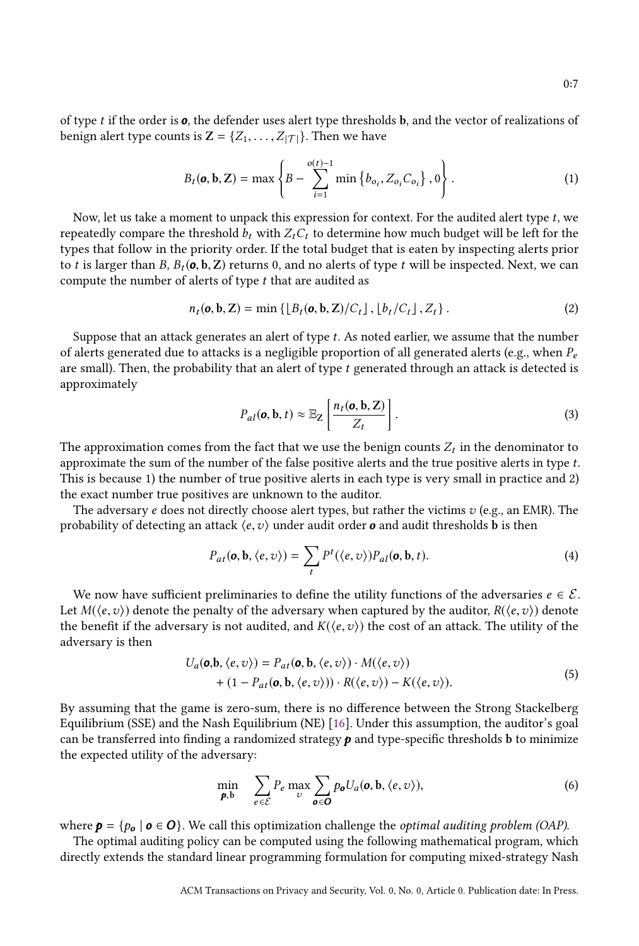of type  $t$  if the order is  $\boldsymbol{o}$ , the defender uses alert type thresholds  $\boldsymbol{b}$ , and the vector of realizations of benign alert type counts is  $Z = \{Z_1, \ldots, Z_{|\mathcal{T}|}\}\)$ . Then we have

$$
B_t(\mathbf{o}, \mathbf{b}, \mathbf{Z}) = \max \left\{ B - \sum_{i=1}^{o(t)-1} \min \left\{ b_{o_i}, Z_{o_i} C_{o_i} \right\}, 0 \right\}.
$$
 (1)

Now, let us take a moment to unpack this expression for context. For the audited alert type t, we repeatedly compare the threshold  $b_t$  with  $Z_tC_t$  to determine how much budget will be left for the types that follow in the priority order. If the total budget that is eaten by inspecting alerts prior to t is larger than B,  $B_t(\mathbf{o}, \mathbf{b}, \mathbf{Z})$  returns 0, and no alerts of type t will be inspected. Next, we can compute the number of alerts of type t that are audited as

$$
n_t(\mathbf{o}, \mathbf{b}, \mathbf{Z}) = \min \left\{ \left[ B_t(\mathbf{o}, \mathbf{b}, \mathbf{Z}) / C_t \right], \left[ b_t / C_t \right], Z_t \right\}. \tag{2}
$$

Suppose that an attack generates an alert of type t. As noted earlier, we assume that the number of alerts generated due to attacks is a negligible proportion of all generated alerts (e.g., when  $P_e$ are small). Then, the probability that an alert of type  $t$  generated through an attack is detected is approximately

$$
P_{al}(\mathbf{o}, \mathbf{b}, t) \approx \mathbb{E}_{Z} \left[ \frac{n_t(\mathbf{o}, \mathbf{b}, Z)}{Z_t} \right].
$$
 (3)

The approximation comes from the fact that we use the benign counts  $Z_t$  in the denominator to approximate the sum of the number of the false positive alerts and the true positive alerts in type  $t$ . approximate the sum of the number of the false positive alerts and the true positive alerts in type  $t$ . This is because 1) the number of true positive alerts in each type is very small in practice and 2) the exact number true positives are unknown to the auditor.

The adversary  $e$  does not directly choose alert types, but rather the victims  $v$  (e.g., an EMR). The probability of detecting an attack  $\langle e, v \rangle$  under audit order  $o$  and audit thresholds **b** is then

$$
P_{at}(\mathbf{0}, \mathbf{b}, \langle e, v \rangle) = \sum_{t} P^{t}(\langle e, v \rangle) P_{al}(\mathbf{0}, \mathbf{b}, t).
$$
 (4)

We now have sufficient preliminaries to define the utility functions of the adversaries  $e \in \mathcal{E}$ . Let  $M(\langle e, v \rangle)$  denote the penalty of the adversary when captured by the auditor,  $R(\langle e, v \rangle)$  denote the benefit if the adversary is not audited, and  $K(\langle e, v \rangle)$  the cost of an attack. The utility of the adversary is then

$$
U_a(\mathbf{0}, \mathbf{b}, \langle e, v \rangle) = P_{at}(\mathbf{0}, \mathbf{b}, \langle e, v \rangle) \cdot M(\langle e, v \rangle)
$$
  
+ 
$$
(1 - P_{at}(\mathbf{0}, \mathbf{b}, \langle e, v \rangle)) \cdot R(\langle e, v \rangle) - K(\langle e, v \rangle).
$$
 (5)

By assuming that the game is zero-sum, there is no difference between the Strong Stackelberg Equilibrium (SSE) and the Nash Equilibrium (NE) [\[16\]](#page-19-21). Under this assumption, the auditor's goal can be transferred into finding a randomized strategy  $p$  and type-specific thresholds b to minimize the expected utility of the adversary:

<span id="page-6-0"></span>
$$
\min_{\boldsymbol{p},\mathbf{b}} \quad \sum_{e \in \mathcal{E}} P_e \max_v \sum_{\boldsymbol{o} \in \mathcal{O}} p_{\boldsymbol{o}} U_a(\boldsymbol{o}, \mathbf{b}, \langle e, v \rangle), \tag{6}
$$

where  $p = \{p_0 \mid o \in \mathbf{O}\}\$ . We call this optimization challenge the *optimal auditing problem (OAP)*.

The optimal auditing policy can be computed using the following mathematical program, which directly extends the standard linear programming formulation for computing mixed-strategy Nash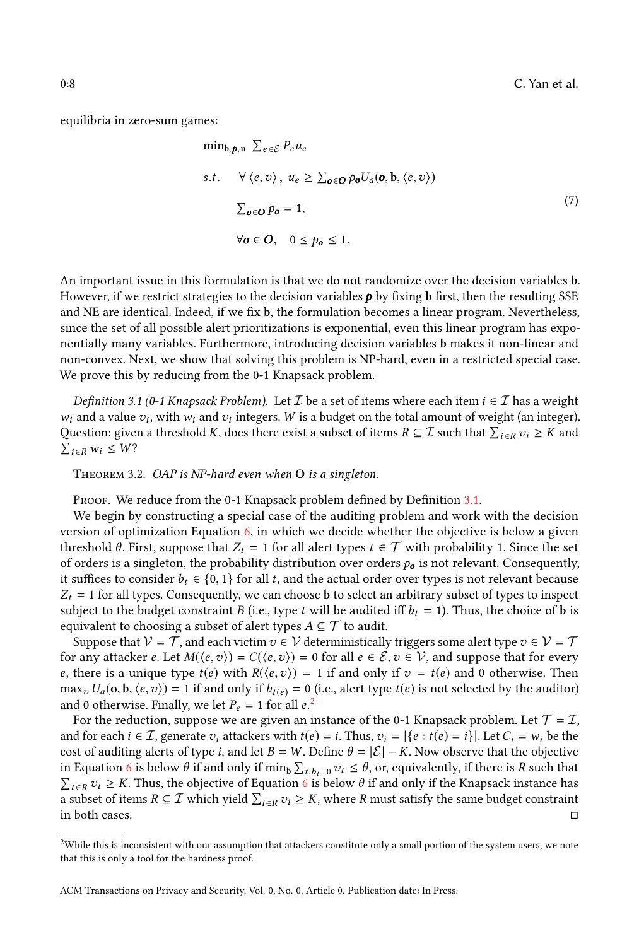equilibria in zero-sum games:

<span id="page-7-2"></span>
$$
\min_{\mathbf{b},\mathbf{p},\mathbf{u}} \sum_{e \in \mathcal{E}} P_e u_e
$$
  
s.t.  $\forall \langle e, v \rangle, u_e \ge \sum_{\mathbf{0} \in \mathbf{O}} p_{\mathbf{0}} U_a(\mathbf{0}, \mathbf{b}, \langle e, v \rangle)$   

$$
\sum_{\mathbf{0} \in \mathbf{O}} p_{\mathbf{0}} = 1,
$$
  
 $\forall \mathbf{0} \in \mathbf{O}, 0 \le p_{\mathbf{0}} \le 1.$  (7)

An important issue in this formulation is that we do not randomize over the decision variables b. However, if we restrict strategies to the decision variables  $\boldsymbol{p}$  by fixing **b** first, then the resulting SSE and NE are identical. Indeed, if we fix b, the formulation becomes a linear program. Nevertheless, since the set of all possible alert prioritizations is exponential, even this linear program has exponentially many variables. Furthermore, introducing decision variables b makes it non-linear and non-convex. Next, we show that solving this problem is NP-hard, even in a restricted special case. We prove this by reducing from the 0-1 Knapsack problem.

<span id="page-7-0"></span>Definition 3.1 (0-1 Knapsack Problem). Let  $\mathcal I$  be a set of items where each item  $i \in \mathcal I$  has a weight  $w_i$  and a value  $v_i$ , with  $w_i$  and  $v_i$  integers. W is a budget on the total amount of weight (an integer).<br>Question: given a threshold K does there exist a subset of items  $R \subset \mathcal{T}$  such that  $\sum_{i=1}^{\infty} x_i > K$  and Question: given a threshold K, does there exist a subset of items  $R \subseteq \mathcal{I}$  such that  $\sum_{i \in R} v_i \ge K$  and  $\sum_{i \in R} w_i \le W$ ?  $\sum_{i \in R} w_i \leq W?$ 

THEOREM 3.2. OAP is NP-hard even when O is a singleton.

PROOF. We reduce from the 0-1 Knapsack problem defined by Definition [3.1.](#page-7-0)

We begin by constructing a special case of the auditing problem and work with the decision version of optimization Equation [6,](#page-6-0) in which we decide whether the objective is below a given threshold  $\theta$ . First, suppose that  $Z_t = 1$  for all alert types  $t \in \mathcal{T}$  with probability 1. Since the set of orders is a singleton, the probability distribution over orders  $p<sub>o</sub>$  is not relevant. Consequently, it suffices to consider  $b_t$  ∈ {0, 1} for all t, and the actual order over types is not relevant because  $Z_t = 1$  for all types. Consequently, we can choose **b** to select an arbitrary subset of types to inspect subject to the budget constraint B (i.e., type t will be audited iff  $b_t = 1$ ). Thus, the choice of **b** is equivalent to choosing a subset of alert types  $A \subseteq \mathcal{T}$  to audit.

Suppose that  $V = T$ , and each victim  $v \in V$  deterministically triggers some alert type  $v \in V = T$ for any attacker e. Let  $M(\langle e, v \rangle) = C(\langle e, v \rangle) = 0$  for all  $e \in \mathcal{E}, v \in \mathcal{V}$ , and suppose that for every e, there is a unique type  $t(e)$  with  $R(\langle e, v \rangle) = 1$  if and only if  $v = t(e)$  and 0 otherwise. Then  $\max_v U_a(\mathbf{o}, \mathbf{b}, \langle e, v \rangle) = 1$  if and only if  $b_{t(e)} = 0$  (i.e., alert type  $t(e)$  is not selected by the auditor) and 0 otherwise. Finally, we let  $P_e = 1$  for all  $e^2$  $e^2$ .<br>For the reduction suppose we are given an i

For the reduction, suppose we are given an instance of the 0-1 Knapsack problem. Let  $\mathcal{T} = \mathcal{I}$ , and for each  $i \in \mathcal{I}$ , generate  $v_i$  attackers with  $t(e) = i$ . Thus,  $v_i = |\{e : t(e) = i\}|$ . Let  $C_i = w_i$  be the cost of auditing alerts of type i, and let  $B = W$ . Define  $\theta = |\mathcal{E}| - K$ . Now observe that the objective in Equation [6](#page-6-0) is below  $\theta$  if and only if  $\min_b \sum_{t:b_t=0} v_t \leq \theta$ , or, equivalently, if there is R such that  $\sum_{t=b} v_t \leq \theta$ , or  $\theta$  if and only if the Knapsack instance has  $\sum_{t \in R} v_t \geq K$ . Thus, the objective of Equation [6](#page-6-0) is below  $\theta$  if and only if the Knapsack instance has a subset of items  $R \subseteq \mathcal{I}$  which yield  $\sum_{i \in R} v_i \geq K$ , where R must satisfy the same budget constraint in both cases. □

<span id="page-7-1"></span> $^2$ While this is inconsistent with our assumption that attackers constitute only a small portion of the system users, we note that this is only a tool for the hardness proof.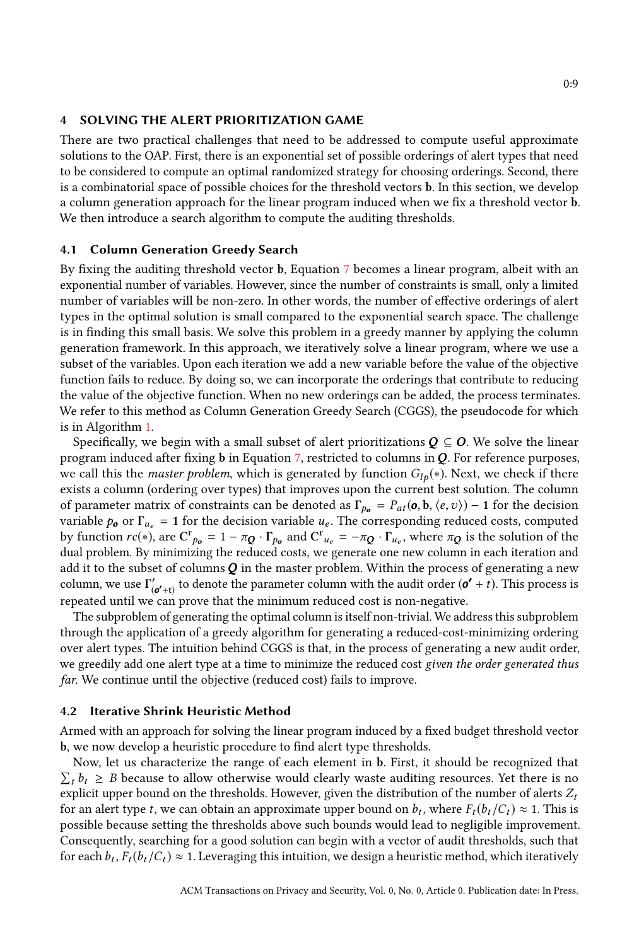# <span id="page-8-0"></span>4 SOLVING THE ALERT PRIORITIZATION GAME

There are two practical challenges that need to be addressed to compute useful approximate solutions to the OAP. First, there is an exponential set of possible orderings of alert types that need to be considered to compute an optimal randomized strategy for choosing orderings. Second, there is a combinatorial space of possible choices for the threshold vectors b. In this section, we develop a column generation approach for the linear program induced when we fix a threshold vector b. We then introduce a search algorithm to compute the auditing thresholds.

# 4.1 Column Generation Greedy Search

By fixing the auditing threshold vector b, Equation [7](#page-7-2) becomes a linear program, albeit with an exponential number of variables. However, since the number of constraints is small, only a limited number of variables will be non-zero. In other words, the number of effective orderings of alert types in the optimal solution is small compared to the exponential search space. The challenge is in finding this small basis. We solve this problem in a greedy manner by applying the column generation framework. In this approach, we iteratively solve a linear program, where we use a subset of the variables. Upon each iteration we add a new variable before the value of the objective function fails to reduce. By doing so, we can incorporate the orderings that contribute to reducing the value of the objective function. When no new orderings can be added, the process terminates. We refer to this method as Column Generation Greedy Search (CGGS), the pseudocode for which is in Algorithm [1.](#page-9-1)

Specifically, we begin with a small subset of alert prioritizations  $Q \subseteq O$ . We solve the linear program induced after fixing <sup>b</sup> in Equation [7,](#page-7-2) restricted to columns inQ. For reference purposes, we call this the *master problem*, which is generated by function  $G_{lp}(*)$ . Next, we check if there exists a column (ordering over types) that improves upon the current best solution. The column of parameter matrix of constraints can be denoted as  $\Gamma_{p_{\rho}} = P_{at}(\mathbf{o}, \mathbf{b}, \langle e, v \rangle) - 1$  for the decision variable  $p_{\text{o}}$  or  $\Gamma_{u_e} = 1$  for the decision variable  $u_e$ . The corresponding reduced costs, computed by function  $rc(*)$ , are  $C_{p_o}^r = 1 - \pi_Q \cdot \Gamma_{p_o}$  and  $C_{u_e}^r = -\pi_Q \cdot \Gamma_{u_e}$ , where  $\pi_Q$  is the solution of the dual problem. By minimizing the reduced costs we generate one new column in each iteration and dual problem. By minimizing the reduced costs, we generate one new column in each iteration and add it to the subset of columns  $Q$  in the master problem. Within the process of generating a new column, we use  $\Gamma'_{(\mathbf{o'+t})}$  to denote the parameter column with the audit order  $(\mathbf{o'+t})$ . This process is  $\sum_{i=1}^{\infty}$  ( $\sum_{i=1}^{\infty}$  ) of denote the parameter column with the addit order ( $\sum_{i=1}^{\infty}$ 

The subproblem of generating the optimal column is itself non-trivial. We address this subproblem through the application of a greedy algorithm for generating a reduced-cost-minimizing ordering over alert types. The intuition behind CGGS is that, in the process of generating a new audit order, we greedily add one alert type at a time to minimize the reduced cost given the order generated thus far. We continue until the objective (reduced cost) fails to improve.

# 4.2 Iterative Shrink Heuristic Method

Armed with an approach for solving the linear program induced by a fixed budget threshold vector b, we now develop a heuristic procedure to find alert type thresholds.

Now, let us characterize the range of each element in b. First, it should be recognized that  $\sum_t b_t \geq B$  because to allow otherwise would clearly waste auditing resources. Yet there is no<br>evolicit upper bound on the thresholds. However, given the distribution of the number of alerts Z. explicit upper bound on the thresholds. However, given the distribution of the number of alerts  $Z_t$ for an alert type t, we can obtain an approximate upper bound on  $b_t$ , where  $F_t(b_t/C_t) \approx 1$ . This is possible because setting the thresholds above such bounds would lead to negligible improvement. Consequently, searching for a good solution can begin with a vector of audit thresholds, such that for each  $b_t$ ,  $F_t(b_t/C_t) \approx 1$ . Leveraging this intuition, we design a heuristic method, which iteratively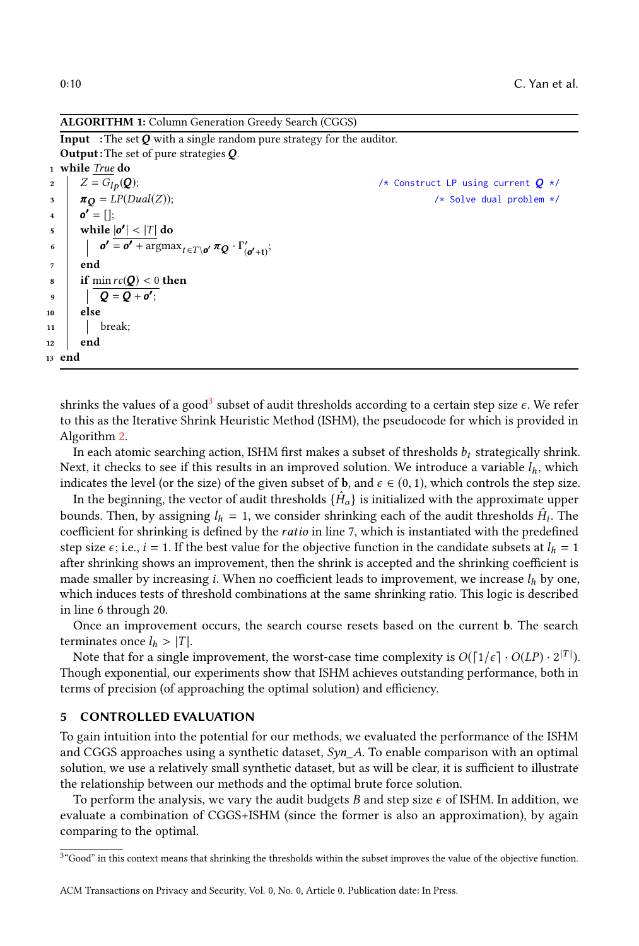ALGORITHM 1: Column Generation Greedy Search (CGGS)

<span id="page-9-1"></span>**Input** :The set  $Q$  with a single random pure strategy for the auditor. **Output:** The set of pure strategies  $Q$ .

<sup>1</sup> while True do  $Z = G_{lp}(Q);$ <br>  $\pi_{Q} = LP(Dual(Z));$ <br>  $\pi_{Q} = LP(Dual(Z));$ <br>  $\pi_{Q} = \pi_{Q} \cdot \pi_{Q}$ <br>  $\pi_{Q} = LP(Dual(Z));$ <br>  $\pi_{Q} = \pi_{Q} \cdot \pi_{Q} \cdot \pi_{Q}$ <br>  $\pi_{Q} = \pi_{Q} \cdot \pi_{Q} \cdot \pi_{Q} \cdot \pi_{Q}$ <br>  $\pi_{Q} = \pi_{Q} \cdot \pi_{Q} \cdot \pi_{Q} \cdot \pi_{Q}$ <br>  $\pi_{Q} = \pi_{Q} \cdot \pi_{Q} \cdot \pi_{Q} \cdot \pi_{Q} \cdot \pi_{Q} \$  $\pi_{\mathbf{Q}} = LP(Dual(Z));$  /\* Solve dual problem \*/<br>  $\pi_{\mathbf{Q}} = \Pi$  $\begin{array}{c|c} 4 & \circ \end{array}$  $o' = []$ :  $\begin{array}{c|c|c|c} \text{while} & \text{if} & \text{if} & \text{if} \\ \hline & & \text{if} & \text{if} & \text{if} \\ \end{array}$  $\begin{array}{c|c} \circ & \circ \\ \circ & \circ \end{array}$  $\mathbf{v} = \mathbf{0'} + \arg \max_{t \in T \setminus \mathbf{0'}} \pi \mathbf{Q} \cdot \Gamma'_{(\mathbf{0'} + t)};$  $7$  end  $\begin{array}{c|c} \n\text{s} & \text{if } \min \text{rc}(Q) < 0 \text{ then} \\
\text{if } \overline{Q} = \overline{Q} + \mathbf{0}' \n\end{array}$ 9  $\sqrt{Q} = Q + o';$  $10$  else <sup>11</sup> break;  $12$  end <sup>13</sup> end

shrinks the values of a good<sup>[3](#page-9-2)</sup> subset of audit thresholds according to a certain step size *ε*. We refer<br>to this as the Iterative Shrink Heuristic Method (ISHM), the pseudocode for which is provided in to this as the Iterative Shrink Heuristic Method (ISHM), the pseudocode for which is provided in Algorithm [2.](#page-10-0)

In each atomic searching action, ISHM first makes a subset of thresholds  $b_t$  strategically shrink. Next, it checks to see if this results in an improved solution. We introduce a variable  $l_h$ , which indicates the level (or the size) of the given subset of **b**, and  $\epsilon \in (0, 1)$ , which controls the step size.

In the beginning, the vector of audit thresholds  $\{\hat{H}_0\}$  is initialized with the approximate upper<br>under Then, by assigning  $L = 1$ , we consider shripking each of the audit thresholds  $\hat{H}$ . The bounds. Then, by assigning  $l_h = 1$ , we consider shrinking each of the audit thresholds  $\hat{H}_i$ . The coefficient for shrinking is defined by the *ratio* in line 7, which is instantiated with the predefined<br>step size  $\epsilon$ : i.e.,  $i = 1$ . If the best value for the objective function in the candidate subsets at  $l_1 = 1$ . step size  $\epsilon$ ; i.e.,  $i = 1$ . If the best value for the objective function in the candidate subsets at  $l_h = 1$ after shrinking shows an improvement, then the shrink is accepted and the shrinking coefficient is made smaller by increasing i. When no coefficient leads to improvement, we increase  $l_h$  by one, which induces tests of threshold combinations at the same shrinking ratio. This logic is described in line 6 through 20.

Once an improvement occurs, the search course resets based on the current b. The search terminates once  $l_h > |T|$ .

Note that for a single improvement, the worst-case time complexity is  $O([1/\epsilon] \cdot O(LP) \cdot 2^{|T|})$ . Though exponential, our experiments show that ISHM achieves outstanding performance, both in terms of precision (of approaching the optimal solution) and efficiency.

# <span id="page-9-0"></span>5 CONTROLLED EVALUATION

To gain intuition into the potential for our methods, we evaluated the performance of the ISHM and CGGS approaches using a synthetic dataset, Syn\_A. To enable comparison with an optimal solution, we use a relatively small synthetic dataset, but as will be clear, it is sufficient to illustrate the relationship between our methods and the optimal brute force solution.

To perform the analysis, we vary the audit budgets B and step size  $\epsilon$  of ISHM. In addition, we evaluate a combination of CGGS+ISHM (since the former is also an approximation), by again comparing to the optimal.

<span id="page-9-2"></span> $3<sup>3</sup>$  Good" in this context means that shrinking the thresholds within the subset improves the value of the objective function.

ACM Transactions on Privacy and Security, Vol. 0, No. 0, Article 0. Publication date: In Press.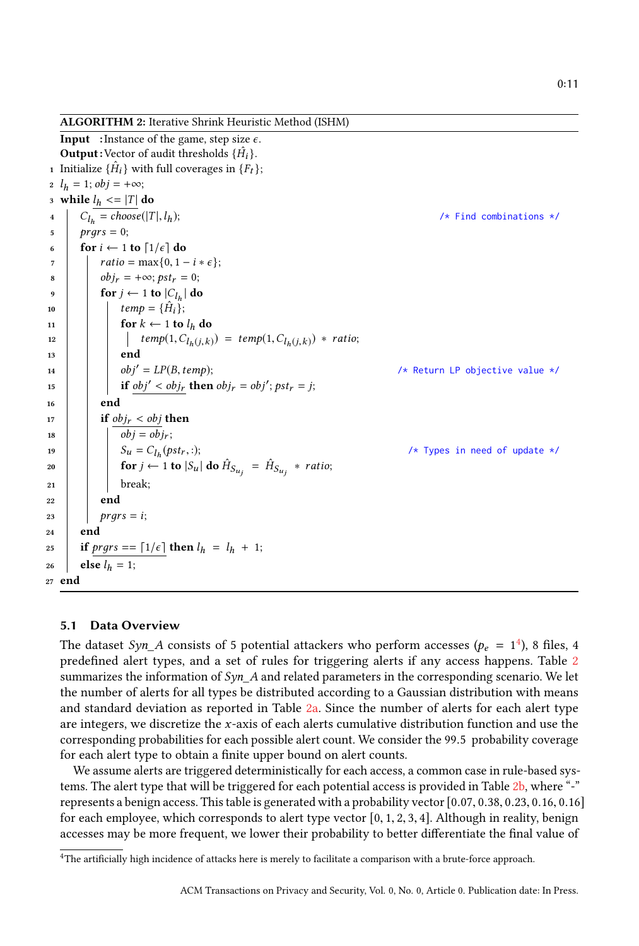ALGORITHM 2: Iterative Shrink Heuristic Method (ISHM)

```
Input : Instance of the game, step size \epsilon.
       Output: Vector of audit thresholds \{\hat{H}_i\}.
  1 Initialize \{\hat{H}_i\} with full coverages in \{F_t\};
  2 l_h = 1; obj = +\infty;
  3 while l_h \leq |T| do<br>4 |C_l| = choose(|T|)4 C_{l_h} = choose(|T|, l_h);<br>5 brars = 0:
                                                                                                                                                                                    /\star Find combinations \star/
  \begin{array}{c|c}\n5 & prgrs = 0; \\
\hline\n6 & \text{for } i \leftarrow 1\n\end{array}6 for i \leftarrow 1 to \lceil 1/\epsilon \rceil do<br>
\frac{1}{\epsilon} ratio = max{0, 1 -
  r \nvert r \nvert r \nvert r \nvert r \nvert r \nvert r \nvert r \nvert r \nvert r \nvert r \nvert r \nvert r \nvert r \nvert r \nvert r \nvert r \nvert8 \begin{array}{|c|c|c|c|}\n\hline\n\text{8} & \text{obj}_r = +\infty; \, pst_r = 0; \\
\text{for } i \leftarrow 1 \text{ to } |C_1| \, \text{d}c\n\end{array}9 \left| \begin{array}{c} \text{for } j \leftarrow 1 \text{ to } |C_{l_h}| \text{ do} \\ \text{then } \text{in } \mathcal{I}(\hat{\mu}_h). \end{array} \right|10 \left| \begin{array}{c} \end{array} \right| \left| \begin{array}{c} \text{temp} = {\hat{H}_i}; \\ \text{f} \end{array} \right|11 \left|\int\right| for k \leftarrow 1 to l_h do<br>
\left|\int\right| temp(1, C<sub>1</sub> (i, b)
 12 \left| \begin{array}{c} \text{ } \end{array} \right| \left| \begin{array}{c} \text{ } \end{array} \right| \left| \begin{array}{c} \text{ } \text{temp}(1, C_{l_h(j,k)}) = \text{temp}(1, C_{l_h(j,k)}) * \text{ ratio}; \end{array}_{13} | | end
14 obj' = LP(B, temp);<br>
15 j \neq 0 objective value */<br>
15 j \neq 0 objective value */
 15 if \frac{\partial bj' < \partial bj_r}{\partial t} then \partial bj_r = \partial bj'; pst_r = j;_{16} | end
17 if \frac{\partial bj_r \leq obj}{\partial bi = obj_r};
18 \begin{array}{|c|c|} \hline \text{obj} = \text{obj}_r; \\ \hline \text{S}_u = \text{C}_l, (p,19 S_u = C_{l_h}(pst_r,:);<br>
20 \left\{\n \begin{array}{c}\n S_u = C_{l_h}(pst_r,:);\n \end{array}\n \right\}/* Types in need of update */20 for j \leftarrow 1 to |S_u| do \hat{H}_{S_{u_j}} = \hat{H}_{S_{u_j}} * ratio;
21 break;
_{22} end
\begin{array}{c|c} 23 & \text{array} = i; \\ 24 & \text{end} \end{array}end
25 if \text{prgrs} = [1/\epsilon] then l_h = l_h + 1;<br>
26 l_h = 1:
26 | else l_h = 1;<br>27 end
     end
```
### 5.1 Data Overview

The dataset Syn\_A consists of 5 potential attackers who perform accesses ( $p_e = 1^4$  $p_e = 1^4$ ), 8 files, 4 predefined alert types, and a set of rules for triggering alerts if any access happens. Table 2 predefined alert types, and a set of rules for triggering alerts if any access happens. Table [2](#page-11-0) summarizes the information of  $Sym$  A and related parameters in the corresponding scenario. We let the number of alerts for all types be distributed according to a Gaussian distribution with means and standard deviation as reported in Table [2a.](#page-11-0) Since the number of alerts for each alert type are integers, we discretize the x-axis of each alerts cumulative distribution function and use the corresponding probabilities for each possible alert count. We consider the <sup>99</sup>.<sup>5</sup> probability coverage for each alert type to obtain a finite upper bound on alert counts.

We assume alerts are triggered deterministically for each access, a common case in rule-based sys-tems. The alert type that will be triggered for each potential access is provided in Table [2b,](#page-11-0) where "-" represents a benign access. This table is generated with a probability vector[0.07, <sup>0</sup>.38, <sup>0</sup>.23, <sup>0</sup>.16, <sup>0</sup>.16] for each employee, which corresponds to alert type vector  $[0, 1, 2, 3, 4]$ . Although in reality, benign accesses may be more frequent, we lower their probability to better differentiate the final value of

<span id="page-10-1"></span><sup>&</sup>lt;sup>4</sup>The artificially high incidence of attacks here is merely to facilitate a comparison with a brute-force approach.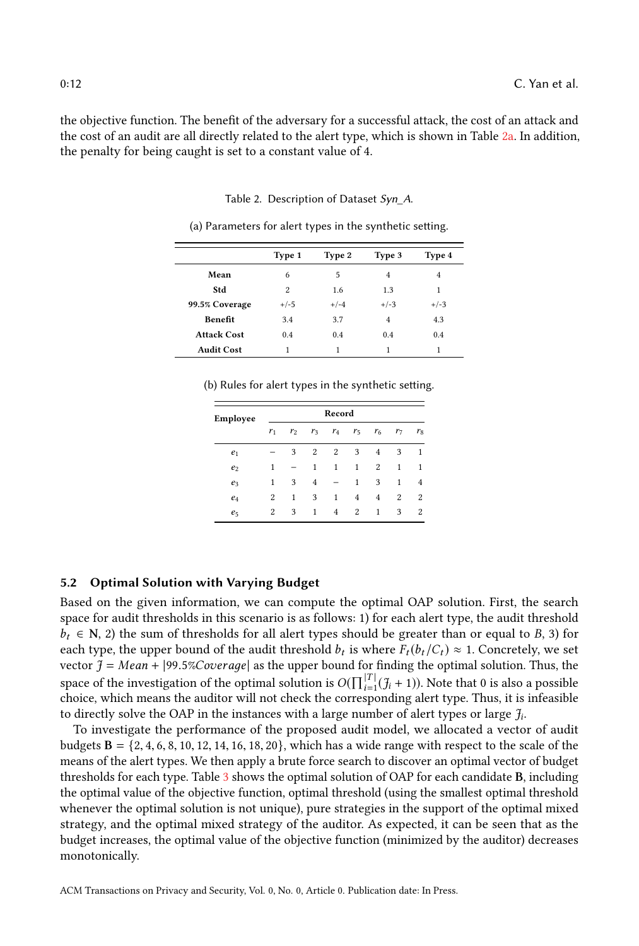<span id="page-11-0"></span>the objective function. The benefit of the adversary for a successful attack, the cost of an attack and the cost of an audit are all directly related to the alert type, which is shown in Table [2a.](#page-11-0) In addition, the penalty for being caught is set to a constant value of 4.

|                    | Type 1         | Type 2 | Type 3 | Type 4 |
|--------------------|----------------|--------|--------|--------|
| Mean               | 6              | 5      | 4      | 4      |
| Std                | $\overline{c}$ | 1.6    | 1.3    | 1      |
| 99.5% Coverage     | $+/-5$         | $+/-4$ | $+/-3$ | $+/-3$ |
| <b>Benefit</b>     | 3.4            | 3.7    | 4      | 4.3    |
| <b>Attack Cost</b> | 0.4            | 0.4    | 0.4    | 0.4    |
| <b>Audit Cost</b>  | 1              | 1      |        |        |

Table 2. Description of Dataset Syn\_A.

(a) Parameters for alert types in the synthetic setting.

| (b) Rules for alert types in the synthetic setting. |  |  |  |
|-----------------------------------------------------|--|--|--|
|                                                     |  |  |  |

| Employee       |                |                |       | Record         |                |                |                |                |
|----------------|----------------|----------------|-------|----------------|----------------|----------------|----------------|----------------|
|                | $r_1$          | r <sub>2</sub> | $r_3$ | $r_4$          | r <sub>5</sub> | $r_6$          | r <sub>7</sub> | $r_8$          |
| e <sub>1</sub> |                | 3              | 2     | $\overline{2}$ | 3              | $\overline{4}$ | 3              | 1              |
| $e_2$          | 1              |                | 1     | 1              | 1              | $\overline{c}$ | 1              | 1              |
| $e_3$          | 1              | 3              | 4     |                | 1              | 3              | 1              | 4              |
| $e_4$          | $\overline{2}$ | 1              | 3     | 1              | 4              | 4              | $\overline{2}$ | $\overline{2}$ |
| e <sub>5</sub> | 2              | 3              | 1     | $\overline{4}$ | $\overline{2}$ | 1              | 3              | 2              |

### 5.2 Optimal Solution with Varying Budget

Based on the given information, we can compute the optimal OAP solution. First, the search space for audit thresholds in this scenario is as follows: 1) for each alert type, the audit threshold  $b_t \in N$ , 2) the sum of thresholds for all alert types should be greater than or equal to B, 3) for each type, the upper bound of the audit threshold  $b_t$  is where  $\overline{F}_t (b_t / C_t) \approx 1$ . Concretely, we set<br>vector  $\overline{F}_t - Mean + 199.5\% Coziercal$  as the upper bound for finding the optimal solution. Thus the vector  $\mathcal{J} = Mean + |99.5\% Coverage|$  as the upper bound for finding the optimal solution. Thus, the space of the investigation of the optimal solution is  $O(\prod_{i=1}^{|T|}(j_i+1))$ . Note that 0 is also a possible choice, which means the auditor will not check the corresponding alert type. Thus, it is infeasible space or the investigation or the optimal solution is  $O(11_{i=1}^i(j_i+1))$ . Note that 0 is also a possible<br>choice, which means the auditor will not check the corresponding alert type. Thus, it is infeasible to directly solve the OAP in the instances with a large number of alert types or large  $\mathcal{J}_i$ .

To investigate the performance of the proposed audit model, we allocated a vector of audit budgets  $B = \{2, 4, 6, 8, 10, 12, 14, 16, 18, 20\}$ , which has a wide range with respect to the scale of the means of the alert types. We then apply a brute force search to discover an optimal vector of budget thresholds for each type. Table [3](#page-12-0) shows the optimal solution of OAP for each candidate B, including the optimal value of the objective function, optimal threshold (using the smallest optimal threshold whenever the optimal solution is not unique), pure strategies in the support of the optimal mixed strategy, and the optimal mixed strategy of the auditor. As expected, it can be seen that as the budget increases, the optimal value of the objective function (minimized by the auditor) decreases monotonically.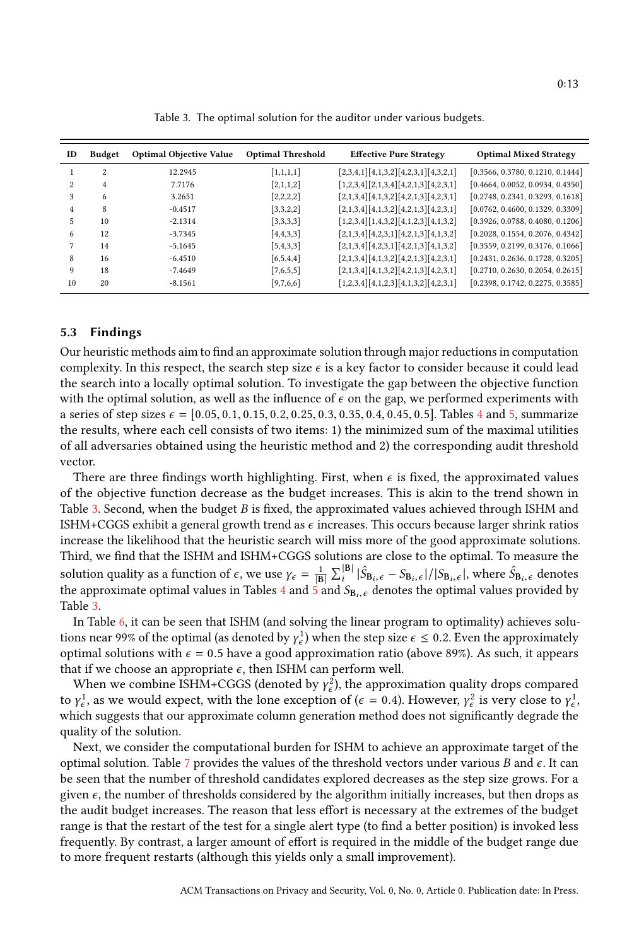<span id="page-12-0"></span>

| ID | <b>Budget</b> | <b>Optimal Objective Value</b> | <b>Optimal Threshold</b> | <b>Effective Pure Strategy</b>       | <b>Optimal Mixed Strategy</b>    |
|----|---------------|--------------------------------|--------------------------|--------------------------------------|----------------------------------|
|    | 2             | 12.2945                        | [1,1,1,1]                | [2,3,4,1][4,1,3,2][4,2,3,1][4,3,2,1] | [0.3566, 0.3780, 0.1210, 0.1444] |
| 2  | 4             | 7.7176                         | [2,1,1,2]                | [1,2,3,4][2,1,3,4][4,2,1,3][4,2,3,1] | [0.4664, 0.0052, 0.0934, 0.4350] |
|    | 6             | 3.2651                         | [2,2,2,2]                | [2,1,3,4][4,1,3,2][4,2,1,3][4,2,3,1] | [0.2748, 0.2341, 0.3293, 0.1618] |
| 4  | 8             | $-0.4517$                      | [3,3,2,2]                | [2,1,3,4][4,1,3,2][4,2,1,3][4,2,3,1] | [0.0762, 0.4600, 0.1329, 0.3309] |
|    | 10            | $-2.1314$                      | [3,3,3,3]                | [1,2,3,4][1,4,3,2][4,1,2,3][4,1,3,2] | [0.3926, 0.0788, 0.4080, 0.1206] |
| 6  | 12            | $-3.7345$                      | [4,4,3,3]                | [2,1,3,4][4,2,3,1][4,2,1,3][4,1,3,2] | [0.2028, 0.1554, 0.2076, 0.4342] |
|    | 14            | $-5.1645$                      | [5,4,3,3]                | [2,1,3,4][4,2,3,1][4,2,1,3][4,1,3,2] | [0.3559, 0.2199, 0.3176, 0.1066] |
| 8  | 16            | $-6.4510$                      | [6,5,4,4]                | [2,1,3,4][4,1,3,2][4,2,1,3][4,2,3,1] | [0.2431, 0.2636, 0.1728, 0.3205] |
| 9  | 18            | $-7.4649$                      | [7,6,5,5]                | [2,1,3,4][4,1,3,2][4,2,1,3][4,2,3,1] | [0.2710, 0.2630, 0.2054, 0.2615] |
| 10 | 20            | $-8.1561$                      | [9,7,6,6]                | [1,2,3,4][4,1,2,3][4,1,3,2][4,2,3,1] | [0.2398, 0.1742, 0.2275, 0.3585] |

Table 3. The optimal solution for the auditor under various budgets.

# 5.3 Findings

Our heuristic methods aim to find an approximate solution through major reductions in computation complexity. In this respect, the search step size  $\epsilon$  is a key factor to consider because it could lead the search into a locally optimal solution. To investigate the gap between the objective function with the optimal solution, as well as the influence of  $\epsilon$  on the gap, we performed experiments with a series of step sizes  $\epsilon = [0.05, 0.1, 0.15, 0.2, 0.25, 0.3, 0.35, 0.4, 0.45, 0.5]$  $\epsilon = [0.05, 0.1, 0.15, 0.2, 0.25, 0.3, 0.35, 0.4, 0.45, 0.5]$  $\epsilon = [0.05, 0.1, 0.15, 0.2, 0.25, 0.3, 0.35, 0.4, 0.45, 0.5]$  $\epsilon = [0.05, 0.1, 0.15, 0.2, 0.25, 0.3, 0.35, 0.4, 0.45, 0.5]$  $\epsilon = [0.05, 0.1, 0.15, 0.2, 0.25, 0.3, 0.35, 0.4, 0.45, 0.5]$ . Tables 4 and 5, summarize the results, where each cell consists of two items: 1) the minimized sum of the maximal utilities of all adversaries obtained using the heuristic method and 2) the corresponding audit threshold vector.

There are three findings worth highlighting. First, when  $\epsilon$  is fixed, the approximated values of the objective function decrease as the budget increases. This is akin to the trend shown in Table [3.](#page-12-0) Second, when the budget B is fixed, the approximated values achieved through ISHM and ISHM+CGGS exhibit a general growth trend as  $\epsilon$  increases. This occurs because larger shrink ratios increase the likelihood that the heuristic search will miss more of the good approximate solutions. Third, we find that the ISHM and ISHM+CGGS solutions are close to the optimal. To measure the solution quality as a function of  $\epsilon$ , we use  $\gamma_{\epsilon} = \frac{1}{|\mathbf{B}|}$ <br>the approximate optimal values in Tables 4 and 5.  $\frac{1}{|\mathbf{B}|}\sum_i^{|\mathbf{B}|}$  $\left|\frac{B}{i}\right| \left|\hat{S}_{B_i,\epsilon} - S_{B_i,\epsilon}\right| / |S_{B_i,\epsilon}|$ , where  $\hat{S}_{B_i,\epsilon}$  denotes the approximate optimal values in Tables [4](#page-13-1) and  $5$  and  $S_{B_i,\epsilon}$  denotes the optimal values provided by Table 3 Table [3.](#page-12-0)

In Table [6,](#page-14-1) it can be seen that ISHM (and solving the linear program to optimality) achieves solutions near 99% of the optimal (as denoted by  $\gamma_e^1$ ) when the step size  $\epsilon \leq 0.2$ . Even the approximately optimal solutions with  $\epsilon = 0.5$  have a good approximation ratio (above 89%). As such it appears optimal solutions with  $\epsilon = 0.5$  have a good approximation ratio (above 89%). As such, it appears that if we choose an appropriate  $\epsilon$  then ISHM can perform well that if we choose an appropriate  $\epsilon$ , then ISHM can perform well.

When we combine ISHM+CGGS (denoted by  $\gamma_e^2$ ), the approximation quality drops compared  $y_1^1$  as we would expect with the lone exception of  $(\epsilon = 0.4)$ . However  $y_1^2$  is very close to  $y_1^1$ to  $\gamma_{\epsilon}^1$ , as we would expect, with the lone exception of  $(\epsilon = 0.4)$ . However,  $\gamma_{\epsilon}^2$  is very close to  $\gamma_{\epsilon}^1$ , which suggests that our approximate column generation method does not significantly degrade the quality of the solution.

Next, we consider the computational burden for ISHM to achieve an approximate target of the optimal solution. Table [7](#page-14-2) provides the values of the threshold vectors under various B and  $\epsilon$ . It can be seen that the number of threshold candidates explored decreases as the step size grows. For a given  $\epsilon$ , the number of thresholds considered by the algorithm initially increases, but then drops as the audit budget increases. The reason that less effort is necessary at the extremes of the budget range is that the restart of the test for a single alert type (to find a better position) is invoked less frequently. By contrast, a larger amount of effort is required in the middle of the budget range due to more frequent restarts (although this yields only a small improvement).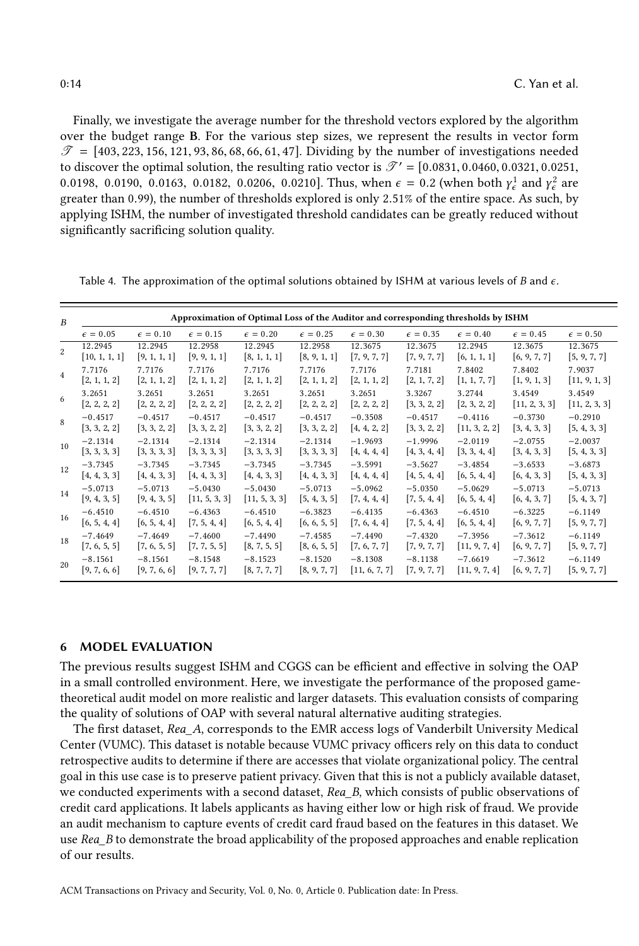Finally, we investigate the average number for the threshold vectors explored by the algorithm over the budget range B. For the various step sizes, we represent the results in vector form  $\mathscr{T} = [403, 223, 156, 121, 93, 86, 68, 66, 61, 47]$ . Dividing by the number of investigations needed to discover the optimal solution, the resulting ratio vector is  $\mathcal{T}' = [0.0831, 0.0460, 0.0321, 0.0251,$ 0.0198, 0.0190, 0.0163, 0.0182, 0.0206, 0.0210]. Thus, when  $\epsilon = 0.2$  (when both  $\gamma_{\epsilon}^1$  and  $\gamma_{\epsilon}^2$  are greater than 0.99) the number of thresholds explored is only 2.51% of the entire space. As such by greater than 0.99), the number of thresholds explored is only 2.51% of the entire space. As such, by<br>applying ISHM, the number of investigated threshold candidates can be greatly reduced without applying ISHM, the number of investigated threshold candidates can be greatly reduced without significantly sacrificing solution quality.

<span id="page-13-1"></span>Table 4. The approximation of the optimal solutions obtained by ISHM at various levels of B and  $\epsilon$ .

| $\boldsymbol{B}$ |                   |                           | Approximation of Optimal Loss of the Auditor and corresponding thresholds by ISHM |                   |                   |                   |                   |                   |                   |                   |
|------------------|-------------------|---------------------------|-----------------------------------------------------------------------------------|-------------------|-------------------|-------------------|-------------------|-------------------|-------------------|-------------------|
|                  | $\epsilon = 0.05$ | $\epsilon = 0.10$         | $\epsilon = 0.15$                                                                 | $\epsilon = 0.20$ | $\epsilon = 0.25$ | $\epsilon = 0.30$ | $\epsilon = 0.35$ | $\epsilon = 0.40$ | $\epsilon = 0.45$ | $\epsilon = 0.50$ |
| $\overline{2}$   | 12.2945           | 12.2945                   | 12.2958                                                                           | 12.2945           | 12.2958           | 12.3675           | 12.3675           | 12.2945           | 12.3675           | 12.3675           |
|                  | [10, 1, 1, 1]     | [9, 1, 1, 1]              | [9, 9, 1, 1]                                                                      | [8, 1, 1, 1]      | [8, 9, 1, 1]      | [7, 9, 7, 7]      | [7, 9, 7, 7]      | [6, 1, 1, 1]      | [6, 9, 7, 7]      | [5, 9, 7, 7]      |
| $\overline{4}$   | 7.7176            | 7.7176                    | 7.7176                                                                            | 7.7176            | 7.7176            | 7.7176            | 7.7181            | 7.8402            | 7.8402            | 7.9037            |
|                  | [2, 1, 1, 2]      | [2, 1, 1, 2]              | [2, 1, 1, 2]                                                                      | [2, 1, 1, 2]      | [2, 1, 1, 2]      | [2, 1, 1, 2]      | [2, 1, 7, 2]      | [1, 1, 7, 7]      | [1, 9, 1, 3]      | [11, 9, 1, 3]     |
| 6                | 3.2651            | 3.2651                    | 3.2651                                                                            | 3.2651            | 3.2651            | 3.2651            | 3.3267            | 3.2744            | 3.4549            | 3.4549            |
|                  | [2, 2, 2, 2]      | [2, 2, 2, 2]              | [2, 2, 2, 2]                                                                      | [2, 2, 2, 2]      | [2, 2, 2, 2]      | [2, 2, 2, 2]      | [3, 3, 2, 2]      | [2, 3, 2, 2]      | [11, 2, 3, 3]     | [11, 2, 3, 3]     |
| 8                | $-0.4517$         | $-0.4517$                 | $-0.4517$                                                                         | $-0.4517$         | $-0.4517$         | $-0.3508$         | $-0.4517$         | $-0.4116$         | $-0.3730$         | $-0.2910$         |
|                  | [3, 3, 2, 2]      | [3, 3, 2, 2]              | [3, 3, 2, 2]                                                                      | [3, 3, 2, 2]      | [3, 3, 2, 2]      | [4, 4, 2, 2]      | [3, 3, 2, 2]      | [11, 3, 2, 2]     | [3, 4, 3, 3]      | [5, 4, 3, 3]      |
| 10               | $-2.1314$         | $-2.1314$                 | $-2.1314$                                                                         | $-2.1314$         | $-2.1314$         | $-1.9693$         | $-1.9996$         | $-2.0119$         | $-2.0755$         | $-2.0037$         |
|                  | [3, 3, 3, 3]      | [3, 3, 3, 3]              | [3, 3, 3, 3]                                                                      | [3, 3, 3, 3]      | [3, 3, 3, 3]      | [4, 4, 4, 4]      | [4, 3, 4, 4]      | [3, 3, 4, 4]      | [3, 4, 3, 3]      | [5, 4, 3, 3]      |
| 12               | $-3.7345$         | $-3.7345$                 | $-3.7345$                                                                         | $-3.7345$         | $-3.7345$         | $-3.5991$         | $-3.5627$         | $-3.4854$         | $-3.6533$         | $-3.6873$         |
|                  | [4, 4, 3, 3]      | [4, 4, 3, 3]              | [4, 4, 3, 3]                                                                      | [4, 4, 3, 3]      | [4, 4, 3, 3]      | [4, 4, 4, 4]      | [4, 5, 4, 4]      | [6, 5, 4, 4]      | [6, 4, 3, 3]      | [5, 4, 3, 3]      |
| 14               | $-5.0713$         | $-5.0713$                 | $-5.0430$                                                                         | $-5.0430$         | $-5.0713$         | $-5.0962$         | $-5.0350$         | $-5.0629$         | $-5.0713$         | $-5.0713$         |
|                  | [9, 4, 3, 5]      | [9, 4, 3, 5]              | [11, 5, 3, 3]                                                                     | [11, 5, 3, 3]     | [5, 4, 3, 5]      | [7, 4, 4, 4]      | [7, 5, 4, 4]      | [6, 5, 4, 4]      | [6, 4, 3, 7]      | [5, 4, 3, 7]      |
| 16               | $-6.4510$         | $-6.4510$                 | $-6.4363$                                                                         | $-6.4510$         | $-6.3823$         | $-6.4135$         | $-6.4363$         | $-6.4510$         | $-6.3225$         | $-6.1149$         |
|                  | [6, 5, 4, 4]      | [6, 5, 4, 4]              | [7, 5, 4, 4]                                                                      | [6, 5, 4, 4]      | [6, 6, 5, 5]      | [7, 6, 4, 4]      | [7, 5, 4, 4]      | [6, 5, 4, 4]      | [6, 9, 7, 7]      | [5, 9, 7, 7]      |
| 18               | $-7.4649$         | $-7.4649$                 | $-7.4600$                                                                         | $-7.4490$         | $-7.4585$         | $-7.4490$         | $-7.4320$         | $-7.3956$         | $-7.3612$         | $-6.1149$         |
|                  | [7, 6, 5, 5]      | [7, 6, 5, 5]              | [7, 7, 5, 5]                                                                      | [8, 7, 5, 5]      | [8, 6, 5, 5]      | [7, 6, 7, 7]      | [7, 9, 7, 7]      | [11, 9, 7, 4]     | [6, 9, 7, 7]      | [5, 9, 7, 7]      |
| 20               | $-8.1561$         | $-8.1561$                 | $-8.1548$                                                                         | $-8.1523$         | $-8.1520$         | $-8.1308$         | $-8.1138$         | $-7.6619$         | $-7.3612$         | $-6.1149$         |
|                  | [9, 7, 6, 6]      | $\left[9, 7, 6, 6\right]$ | [9, 7, 7, 7]                                                                      | [8, 7, 7, 7]      | [8, 9, 7, 7]      | [11, 6, 7, 7]     | [7, 9, 7, 7]      | [11, 9, 7, 4]     | [6, 9, 7, 7]      | [5, 9, 7, 7]      |

# <span id="page-13-0"></span>6 MODEL EVALUATION

The previous results suggest ISHM and CGGS can be efficient and effective in solving the OAP in a small controlled environment. Here, we investigate the performance of the proposed gametheoretical audit model on more realistic and larger datasets. This evaluation consists of comparing the quality of solutions of OAP with several natural alternative auditing strategies.

The first dataset, Rea\_A, corresponds to the EMR access logs of Vanderbilt University Medical Center (VUMC). This dataset is notable because VUMC privacy officers rely on this data to conduct retrospective audits to determine if there are accesses that violate organizational policy. The central goal in this use case is to preserve patient privacy. Given that this is not a publicly available dataset, we conducted experiments with a second dataset, Rea\_B, which consists of public observations of credit card applications. It labels applicants as having either low or high risk of fraud. We provide an audit mechanism to capture events of credit card fraud based on the features in this dataset. We use Rea\_B to demonstrate the broad applicability of the proposed approaches and enable replication of our results.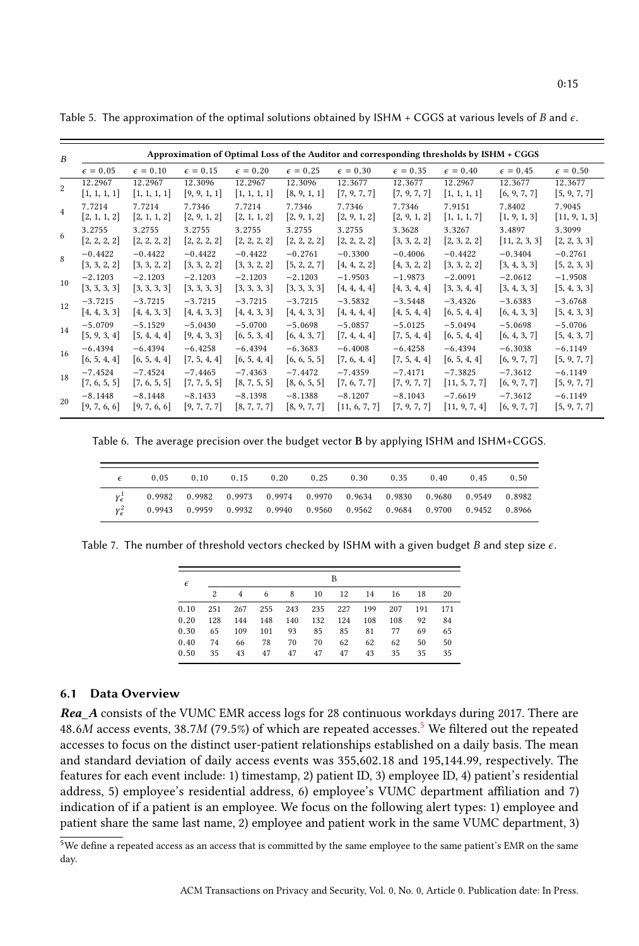| $\boldsymbol{B}$ |                   |                   |                   |                           |                   | Approximation of Optimal Loss of the Auditor and corresponding thresholds by ISHM + CGGS |                   |                           |                   |                          |
|------------------|-------------------|-------------------|-------------------|---------------------------|-------------------|------------------------------------------------------------------------------------------|-------------------|---------------------------|-------------------|--------------------------|
|                  | $\epsilon = 0.05$ | $\epsilon = 0.10$ | $\epsilon = 0.15$ | $\epsilon = 0.20$         | $\epsilon = 0.25$ | $\epsilon = 0.30$                                                                        | $\epsilon = 0.35$ | $\epsilon = 0.40$         | $\epsilon = 0.45$ | $\epsilon = 0.50$        |
| $\overline{2}$   | 12.2967           | 12.2967           | 12.3096           | 12.2967                   | 12.3096           | 12.3677                                                                                  | 12,3677           | 12,2967                   | 12.3677           | 12.3677                  |
|                  | [1, 1, 1, 1]      | [1, 1, 1, 1]      | [9, 9, 1, 1]      | [1, 1, 1, 1]              | [8, 9, 1, 1]      | [7, 9, 7, 7]                                                                             | [7, 9, 7, 7]      | [1, 1, 1, 1]              | [6, 9, 7, 7]      | [5, 9, 7, 7]             |
| $\overline{4}$   | 7.7214            | 7.7214            | 7.7346            | 7.7214                    | 7.7346            | 7.7346                                                                                   | 7.7346            | 7.9151                    | 7.8402            | 7.9045                   |
|                  | [2, 1, 1, 2]      | [2, 1, 1, 2]      | [2, 9, 1, 2]      | [2, 1, 1, 2]              | [2, 9, 1, 2]      | [2, 9, 1, 2]                                                                             | [2, 9, 1, 2]      | [1, 1, 1, 7]              | [1, 9, 1, 3]      | [11, 9, 1, 3]            |
| 6                | 3.2755            | 3.2755            | 3.2755            | 3.2755                    | 3.2755            | 3.2755                                                                                   | 3.3628            | 3.3267                    | 3.4897            | 3.3099                   |
|                  | [2, 2, 2, 2]      | [2, 2, 2, 2]      | [2, 2, 2, 2]      | [2, 2, 2, 2]              | [2, 2, 2, 2]      | [2, 2, 2, 2]                                                                             | [3, 3, 2, 2]      | [2, 3, 2, 2]              | [11, 2, 3, 3]     | [2, 2, 3, 3]             |
| 8                | $-0.4422$         | $-0.4422$         | $-0.4422$         | $-0.4422$                 | $-0.2761$         | $-0.3300$                                                                                | $-0.4006$         | $-0.4422$                 | $-0.3404$         | $-0.2761$                |
|                  | [3, 3, 2, 2]      | [3, 3, 2, 2]      | [3, 3, 2, 2]      | [3, 3, 2, 2]              | [5, 2, 2, 7]      | [4, 4, 2, 2]                                                                             | [4, 3, 2, 2]      | [3, 3, 2, 2]              | [3, 4, 3, 3]      | [5, 2, 3, 3]             |
| 10               | $-2.1203$         | $-2.1203$         | $-2.1203$         | $-2.1203$                 | $-2.1203$         | $-1.9503$                                                                                | $-1.9873$         | $-2.0091$                 | $-2.0612$         | $-1.9508$                |
|                  | [3, 3, 3, 3]      | [3, 3, 3, 3]      | [3, 3, 3, 3]      | [3, 3, 3, 3]              | [3, 3, 3, 3]      | [4, 4, 4, 4]                                                                             | [4, 3, 4, 4]      | [3, 3, 4, 4]              | [3, 4, 3, 3]      | [5, 4, 3, 3]             |
| 12               | $-3.7215$         | $-3.7215$         | $-3.7215$         | $-3.7215$                 | $-3.7215$         | $-3.5832$                                                                                | $-3.5448$         | $-3.4326$                 | $-3.6383$         | $-3.6768$                |
|                  | [4, 4, 3, 3]      | [4, 4, 3, 3]      | [4, 4, 3, 3]      | [4, 4, 3, 3]              | [4, 4, 3, 3]      | [4, 4, 4, 4]                                                                             | [4, 5, 4, 4]      | [6, 5, 4, 4]              | [6, 4, 3, 3]      | [5, 4, 3, 3]             |
| 14               | $-5.0709$         | $-5.1529$         | $-5.0430$         | $-5.0700$                 | $-5.0698$         | $-5.0857$                                                                                | $-5.0125$         | $-5.0494$                 | $-5.0698$         | $-5.0706$                |
|                  | [5, 9, 3, 4]      | [5, 4, 4, 4]      | [9, 4, 3, 3]      | $\left[6, 5, 3, 4\right]$ | [6, 4, 3, 7]      | $\vert 7, 4, 4, 4 \vert$                                                                 | [7, 5, 4, 4]      | $\left[6, 5, 4, 4\right]$ | [6, 4, 3, 7]      | $\vert 5, 4, 3, 7 \vert$ |
| 16               | $-6.4394$         | $-6.4394$         | $-6.4258$         | $-6.4394$                 | $-6.3683$         | $-6.4008$                                                                                | $-6.4258$         | $-6.4394$                 | $-6.3038$         | $-6.1149$                |
|                  | [6, 5, 4, 4]      | [6, 5, 4, 4]      | [7, 5, 4, 4]      | [6, 5, 4, 4]              | [6, 6, 5, 5]      | $\vert 7, 6, 4, 4 \vert$                                                                 | [7, 5, 4, 4]      | [6, 5, 4, 4]              | [6, 9, 7, 7]      | [5, 9, 7, 7]             |
| 18               | $-7.4524$         | $-7.4524$         | $-7.4465$         | $-7.4363$                 | $-7.4472$         | $-7.4359$                                                                                | $-7.4171$         | $-7.3825$                 | $-7.3612$         | $-6.1149$                |
|                  | [7, 6, 5, 5]      | [7, 6, 5, 5]      | [7, 7, 5, 5]      | [8, 7, 5, 5]              | [8, 6, 5, 5]      | [7, 6, 7, 7]                                                                             | [7, 9, 7, 7]      | [11, 5, 7, 7]             | [6, 9, 7, 7]      | [5, 9, 7, 7]             |
| 20               | $-8.1448$         | $-8.1448$         | $-8.1433$         | $-8.1398$                 | $-8.1388$         | $-8.1207$                                                                                | $-8.1043$         | $-7.6619$                 | $-7.3612$         | $-6.1149$                |
|                  | [9, 7, 6, 6]      | [9, 7, 6, 6]      | [9, 7, 7, 7]      | [8, 7, 7, 7]              | [8, 9, 7, 7]      | [11, 6, 7, 7]                                                                            | [7, 9, 7, 7]      | [11, 9, 7, 4]             | [6, 9, 7, 7]      | [5, 9, 7, 7]             |

<span id="page-14-0"></span>Table 5. The approximation of the optimal solutions obtained by ISHM + CGGS at various levels of B and  $\epsilon$ .

<span id="page-14-1"></span>Table 6. The average precision over the budget vector B by applying ISHM and ISHM+CGGS.

| $\epsilon$ | $0.05$ $0.10$                                                                                                                          |  | $0.15$ $0.20$ $0.25$ $0.30$ $0.35$ |  | $0.40 \t 0.45$ | 0.50 |
|------------|----------------------------------------------------------------------------------------------------------------------------------------|--|------------------------------------|--|----------------|------|
|            | $0.9982$ $0.9982$ $0.9973$ $0.9974$ $0.9970$ $0.9634$ $0.9830$ $0.9680$ $0.9549$ $0.8982$                                              |  |                                    |  |                |      |
|            | $0.9943 \qquad 0.9959 \qquad 0.9932 \qquad 0.9940 \qquad 0.9560 \qquad 0.9562 \qquad 0.9684 \qquad 0.9700 \qquad 0.9452 \qquad 0.8966$ |  |                                    |  |                |      |

<span id="page-14-2"></span>Table 7. The number of threshold vectors checked by ISHM with a given budget B and step size  $\epsilon$ .

| $\epsilon$ |             |     |     |     |     | В   |       |     |     |     |
|------------|-------------|-----|-----|-----|-----|-----|-------|-----|-----|-----|
|            | $2^{\circ}$ | 4   | -6  | 8   | 10  |     | 12 14 | 16  | 18  | 20  |
| 0.10       | 251         | 267 | 255 | 243 | 235 | 227 | 199   | 207 | 191 | 171 |
| 0.20       | 128         | 144 | 148 | 140 | 132 | 124 | 108   | 108 | 92  | 84  |
| 0.30       | 65          | 109 | 101 | 93  | 85  | 85  | 81    | 77  | 69  | 65  |
| 0.40       | 74          | 66  | 78  | 70  | 70  | 62  | 62    | 62  | 50  | 50  |
| 0.50       | 35          | 43  | 47  | 47  | 47  | 47  | 43    | 35  | 35  | 35  |

# 6.1 Data Overview

Rea\_A consists of the VUMC EMR access logs for 28 continuous workdays during 2017. There are 48.6M access events, 38.7M (79.[5](#page-14-3)%) of which are repeated accesses.<sup>5</sup> We filtered out the repeated accesses to focus on the distinct user-patient relationships established on a daily basis. The mean and standard deviation of daily access events was <sup>355</sup>,602.<sup>18</sup> and <sup>195</sup>,144.99, respectively. The features for each event include: 1) timestamp, 2) patient ID, 3) employee ID, 4) patient's residential address, 5) employee's residential address, 6) employee's VUMC department affiliation and 7) indication of if a patient is an employee. We focus on the following alert types: 1) employee and patient share the same last name, 2) employee and patient work in the same VUMC department, 3)

<span id="page-14-3"></span> $^{5}\rm{We}$  define a repeated access as an access that is committed by the same employee to the same patient's EMR on the same day.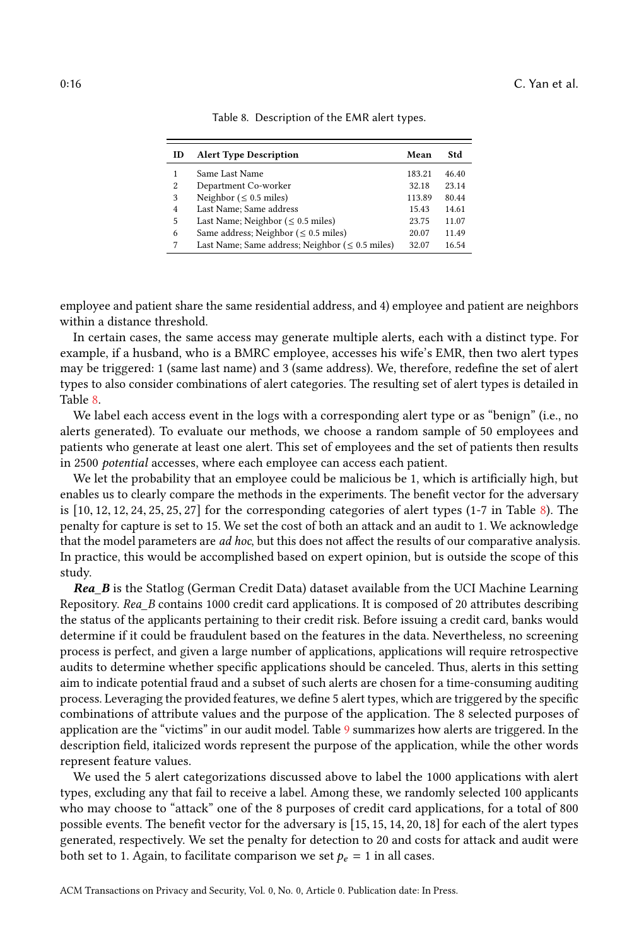<span id="page-15-0"></span>

| ID             | <b>Alert Type Description</b>                                | Mean   | Std   |
|----------------|--------------------------------------------------------------|--------|-------|
|                | Same Last Name                                               | 183.21 | 46.40 |
| 2              | Department Co-worker                                         | 32.18  | 23.14 |
| 3              | Neighbor ( $\leq 0.5$ miles)                                 | 113.89 | 80.44 |
| $\overline{4}$ | Last Name; Same address                                      | 15.43  | 14.61 |
| 5              | Last Name; Neighbor ( $\leq 0.5$ miles)                      | 23.75  | 11.07 |
| 6              | Same address; Neighbor ( $\leq 0.5$ miles)                   | 20.07  | 11.49 |
| 7              | Last Name; Same address; Neighbor $(\leq 0.5 \text{ miles})$ | 32.07  | 16.54 |

Table 8. Description of the EMR alert types.

employee and patient share the same residential address, and 4) employee and patient are neighbors within a distance threshold.

In certain cases, the same access may generate multiple alerts, each with a distinct type. For example, if a husband, who is a BMRC employee, accesses his wife's EMR, then two alert types may be triggered: 1 (same last name) and 3 (same address). We, therefore, redefine the set of alert types to also consider combinations of alert categories. The resulting set of alert types is detailed in Table [8.](#page-15-0)

We label each access event in the logs with a corresponding alert type or as "benign" (i.e., no alerts generated). To evaluate our methods, we choose a random sample of 50 employees and patients who generate at least one alert. This set of employees and the set of patients then results in 2500 potential accesses, where each employee can access each patient.

We let the probability that an employee could be malicious be 1, which is artificially high, but enables us to clearly compare the methods in the experiments. The benefit vector for the adversary is  $[10, 12, 12, 24, 25, 25, 27]$  for the corresponding categories of alert types  $(1-7$  in Table [8\)](#page-15-0). The penalty for capture is set to 15. We set the cost of both an attack and an audit to 1. We acknowledge that the model parameters are *ad hoc*, but this does not affect the results of our comparative analysis. In practice, this would be accomplished based on expert opinion, but is outside the scope of this study.

Rea\_B is the Statlog (German Credit Data) dataset available from the UCI Machine Learning Repository. Rea\_B contains 1000 credit card applications. It is composed of 20 attributes describing the status of the applicants pertaining to their credit risk. Before issuing a credit card, banks would determine if it could be fraudulent based on the features in the data. Nevertheless, no screening process is perfect, and given a large number of applications, applications will require retrospective audits to determine whether specific applications should be canceled. Thus, alerts in this setting aim to indicate potential fraud and a subset of such alerts are chosen for a time-consuming auditing process. Leveraging the provided features, we define 5 alert types, which are triggered by the specific combinations of attribute values and the purpose of the application. The 8 selected purposes of application are the "victims" in our audit model. Table [9](#page-16-0) summarizes how alerts are triggered. In the description field, italicized words represent the purpose of the application, while the other words represent feature values.

We used the 5 alert categorizations discussed above to label the 1000 applications with alert types, excluding any that fail to receive a label. Among these, we randomly selected 100 applicants who may choose to "attack" one of the 8 purposes of credit card applications, for a total of 800 possible events. The benefit vector for the adversary is [15, <sup>15</sup>, <sup>14</sup>, <sup>20</sup>, <sup>18</sup>] for each of the alert types generated, respectively. We set the penalty for detection to 20 and costs for attack and audit were both set to 1. Again, to facilitate comparison we set  $p_e = 1$  in all cases.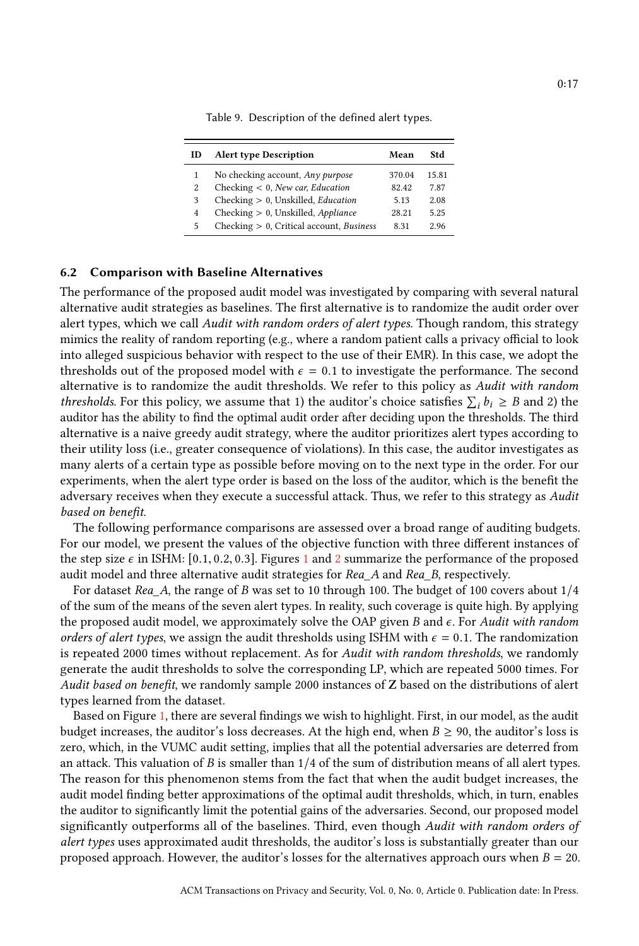<span id="page-16-0"></span>

| ID | <b>Alert type Description</b>               | Mean   | Std   |
|----|---------------------------------------------|--------|-------|
|    | No checking account, Any purpose            | 370.04 | 15.81 |
| 2  | Checking $< 0$ , New car, Education         | 82.42  | 7.87  |
| 3  | Checking > 0, Unskilled, Education          | 513    | 2.08  |
| 4  | Checking $> 0$ , Unskilled, Appliance       | 28.21  | 5 25  |
| 5  | Checking $> 0$ , Critical account, Business | 831    | 2.96  |

Table 9. Description of the defined alert types.

#### 6.2 Comparison with Baseline Alternatives

The performance of the proposed audit model was investigated by comparing with several natural alternative audit strategies as baselines. The first alternative is to randomize the audit order over alert types, which we call *Audit with random orders of alert types*. Though random, this strategy mimics the reality of random reporting (e.g., where a random patient calls a privacy official to look into alleged suspicious behavior with respect to the use of their EMR). In this case, we adopt the thresholds out of the proposed model with  $\epsilon = 0.1$  to investigate the performance. The second alternative is to randomize the audit thresholds. We refer to this policy as Audit with random *thresholds.* For this policy, we assume that 1) the auditor's choice satisfies  $\sum_i b_i \geq B$  and 2) the auditor has the ability to find the optimal audit order after deciding upon the thresholds. The third auditor has the ability to find the optimal audit order after deciding upon the thresholds. The third alternative is a naive greedy audit strategy, where the auditor prioritizes alert types according to their utility loss (i.e., greater consequence of violations). In this case, the auditor investigates as many alerts of a certain type as possible before moving on to the next type in the order. For our experiments, when the alert type order is based on the loss of the auditor, which is the benefit the adversary receives when they execute a successful attack. Thus, we refer to this strategy as Audit based on benefit.

The following performance comparisons are assessed over a broad range of auditing budgets. For our model, we present the values of the objective function with three different instances of the step size  $\epsilon$  in ISHM: [0.[1](#page-17-0), 0.[2](#page-17-1), 0.3]. Figures 1 and 2 summarize the performance of the proposed audit model and three alternative audit strategies for Rea\_A and Rea\_B, respectively.

For dataset Rea A, the range of B was set to 10 through 100. The budget of 100 covers about  $1/4$ of the sum of the means of the seven alert types. In reality, such coverage is quite high. By applying the proposed audit model, we approximately solve the OAP given B and  $\epsilon$ . For Audit with random orders of alert types, we assign the audit thresholds using ISHM with  $\epsilon = 0.1$ . The randomization is repeated 2000 times without replacement. As for Audit with random thresholds, we randomly generate the audit thresholds to solve the corresponding LP, which are repeated 5000 times. For Audit based on benefit, we randomly sample 2000 instances of Z based on the distributions of alert types learned from the dataset.

Based on Figure [1,](#page-17-0) there are several findings we wish to highlight. First, in our model, as the audit budget increases, the auditor's loss decreases. At the high end, when  $B \ge 90$ , the auditor's loss is zero, which, in the VUMC audit setting, implies that all the potential adversaries are deterred from an attack. This valuation of B is smaller than  $1/4$  of the sum of distribution means of all alert types. The reason for this phenomenon stems from the fact that when the audit budget increases, the audit model finding better approximations of the optimal audit thresholds, which, in turn, enables the auditor to significantly limit the potential gains of the adversaries. Second, our proposed model significantly outperforms all of the baselines. Third, even though Audit with random orders of alert types uses approximated audit thresholds, the auditor's loss is substantially greater than our proposed approach. However, the auditor's losses for the alternatives approach ours when  $B = 20$ .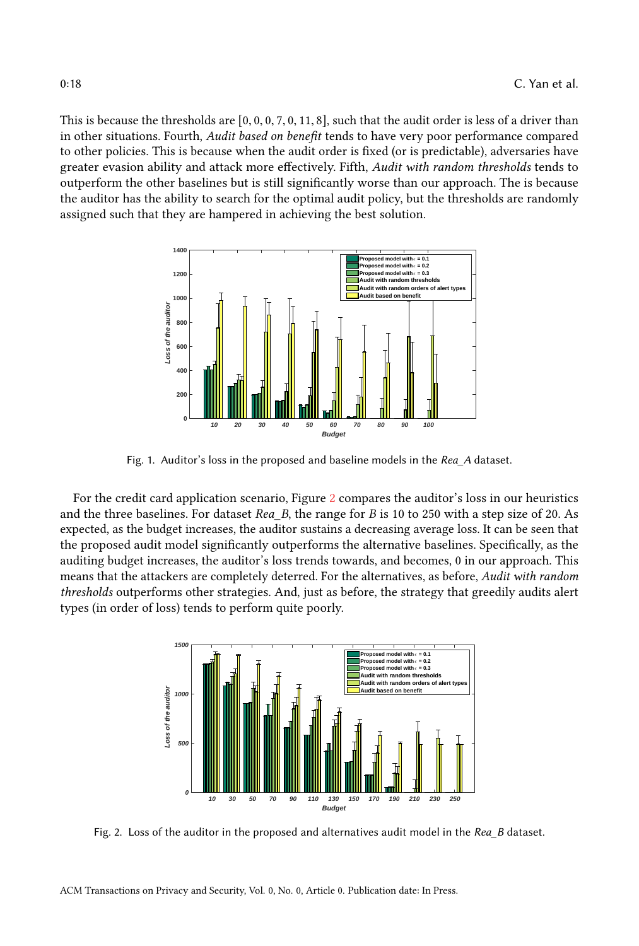This is because the thresholds are  $[0, 0, 0, 7, 0, 11, 8]$ , such that the audit order is less of a driver than in other situations. Fourth, Audit based on benefit tends to have very poor performance compared to other policies. This is because when the audit order is fixed (or is predictable), adversaries have greater evasion ability and attack more effectively. Fifth, Audit with random thresholds tends to outperform the other baselines but is still significantly worse than our approach. The is because the auditor has the ability to search for the optimal audit policy, but the thresholds are randomly assigned such that they are hampered in achieving the best solution.

<span id="page-17-0"></span>

Fig. 1. Auditor's loss in the proposed and baseline models in the Rea A dataset.

For the credit card application scenario, Figure [2](#page-17-1) compares the auditor's loss in our heuristics and the three baselines. For dataset Rea  $B$ , the range for B is 10 to 250 with a step size of 20. As expected, as the budget increases, the auditor sustains a decreasing average loss. It can be seen that the proposed audit model significantly outperforms the alternative baselines. Specifically, as the auditing budget increases, the auditor's loss trends towards, and becomes, 0 in our approach. This means that the attackers are completely deterred. For the alternatives, as before, Audit with random thresholds outperforms other strategies. And, just as before, the strategy that greedily audits alert types (in order of loss) tends to perform quite poorly.

<span id="page-17-1"></span>

Fig. 2. Loss of the auditor in the proposed and alternatives audit model in the Rea\_B dataset.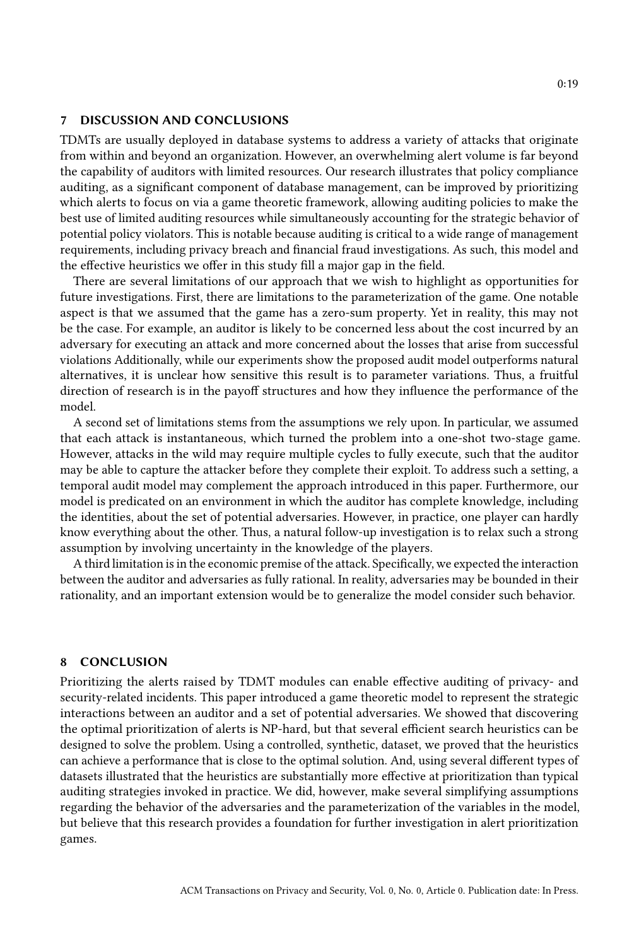# <span id="page-18-0"></span>7 DISCUSSION AND CONCLUSIONS

TDMTs are usually deployed in database systems to address a variety of attacks that originate from within and beyond an organization. However, an overwhelming alert volume is far beyond the capability of auditors with limited resources. Our research illustrates that policy compliance auditing, as a significant component of database management, can be improved by prioritizing which alerts to focus on via a game theoretic framework, allowing auditing policies to make the best use of limited auditing resources while simultaneously accounting for the strategic behavior of potential policy violators. This is notable because auditing is critical to a wide range of management requirements, including privacy breach and financial fraud investigations. As such, this model and the effective heuristics we offer in this study fill a major gap in the field.

There are several limitations of our approach that we wish to highlight as opportunities for future investigations. First, there are limitations to the parameterization of the game. One notable aspect is that we assumed that the game has a zero-sum property. Yet in reality, this may not be the case. For example, an auditor is likely to be concerned less about the cost incurred by an adversary for executing an attack and more concerned about the losses that arise from successful violations Additionally, while our experiments show the proposed audit model outperforms natural alternatives, it is unclear how sensitive this result is to parameter variations. Thus, a fruitful direction of research is in the payoff structures and how they influence the performance of the model.

A second set of limitations stems from the assumptions we rely upon. In particular, we assumed that each attack is instantaneous, which turned the problem into a one-shot two-stage game. However, attacks in the wild may require multiple cycles to fully execute, such that the auditor may be able to capture the attacker before they complete their exploit. To address such a setting, a temporal audit model may complement the approach introduced in this paper. Furthermore, our model is predicated on an environment in which the auditor has complete knowledge, including the identities, about the set of potential adversaries. However, in practice, one player can hardly know everything about the other. Thus, a natural follow-up investigation is to relax such a strong assumption by involving uncertainty in the knowledge of the players.

A third limitation is in the economic premise of the attack. Specifically, we expected the interaction between the auditor and adversaries as fully rational. In reality, adversaries may be bounded in their rationality, and an important extension would be to generalize the model consider such behavior.

### 8 CONCLUSION

Prioritizing the alerts raised by TDMT modules can enable effective auditing of privacy- and security-related incidents. This paper introduced a game theoretic model to represent the strategic interactions between an auditor and a set of potential adversaries. We showed that discovering the optimal prioritization of alerts is NP-hard, but that several efficient search heuristics can be designed to solve the problem. Using a controlled, synthetic, dataset, we proved that the heuristics can achieve a performance that is close to the optimal solution. And, using several different types of datasets illustrated that the heuristics are substantially more effective at prioritization than typical auditing strategies invoked in practice. We did, however, make several simplifying assumptions regarding the behavior of the adversaries and the parameterization of the variables in the model, but believe that this research provides a foundation for further investigation in alert prioritization games.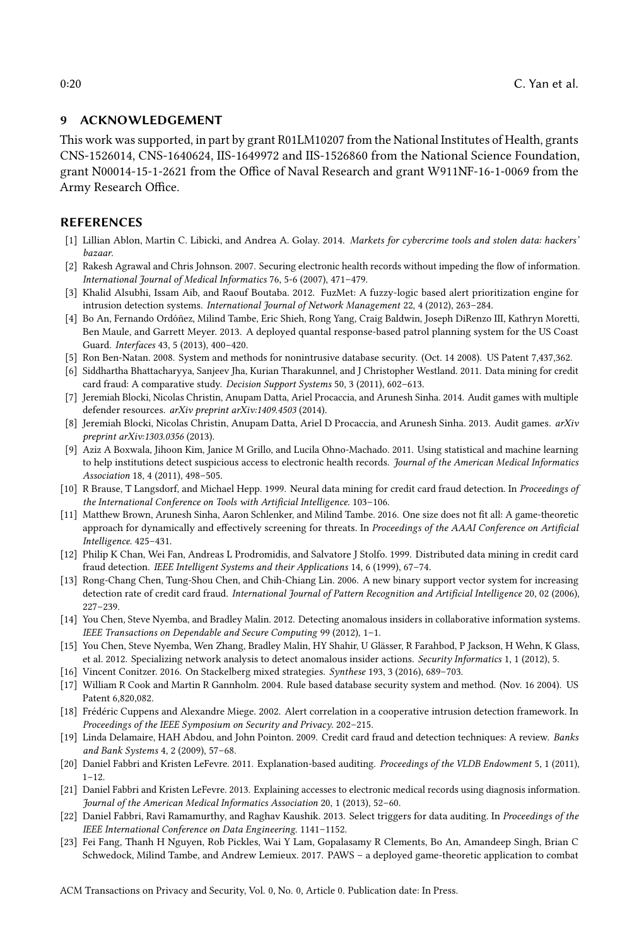# 9 ACKNOWLEDGEMENT

This work was supported, in part by grant R01LM10207 from the National Institutes of Health, grants CNS-1526014, CNS-1640624, IIS-1649972 and IIS-1526860 from the National Science Foundation, grant N00014-15-1-2621 from the Office of Naval Research and grant W911NF-16-1-0069 from the Army Research Office.

# REFERENCES

- <span id="page-19-0"></span>[1] Lillian Ablon, Martin C. Libicki, and Andrea A. Golay. 2014. Markets for cybercrime tools and stolen data: hackers' bazaar.
- <span id="page-19-1"></span>[2] Rakesh Agrawal and Chris Johnson. 2007. Securing electronic health records without impeding the flow of information. International Journal of Medical Informatics 76, 5-6 (2007), 471–479.
- <span id="page-19-15"></span>[3] Khalid Alsubhi, Issam Aib, and Raouf Boutaba. 2012. FuzMet: A fuzzy-logic based alert prioritization engine for intrusion detection systems. International Journal of Network Management 22, 4 (2012), 263–284.
- <span id="page-19-17"></span>[4] Bo An, Fernando Ordóñez, Milind Tambe, Eric Shieh, Rong Yang, Craig Baldwin, Joseph DiRenzo III, Kathryn Moretti, Ben Maule, and Garrett Meyer. 2013. A deployed quantal response-based patrol planning system for the US Coast Guard. Interfaces 43, 5 (2013), 400–420.
- <span id="page-19-2"></span>[5] Ron Ben-Natan. 2008. System and methods for nonintrusive database security. (Oct. 14 2008). US Patent 7,437,362.
- <span id="page-19-10"></span>[6] Siddhartha Bhattacharyya, Sanjeev Jha, Kurian Tharakunnel, and J Christopher Westland. 2011. Data mining for credit card fraud: A comparative study. Decision Support Systems 50, 3 (2011), 602–613.
- <span id="page-19-19"></span>[7] Jeremiah Blocki, Nicolas Christin, Anupam Datta, Ariel Procaccia, and Arunesh Sinha. 2014. Audit games with multiple defender resources. arXiv preprint arXiv:1409.4503 (2014).
- <span id="page-19-20"></span>[8] Jeremiah Blocki, Nicolas Christin, Anupam Datta, Ariel D Procaccia, and Arunesh Sinha. 2013. Audit games. arXiv preprint arXiv:1303.0356 (2013).
- <span id="page-19-4"></span>[9] Aziz A Boxwala, Jihoon Kim, Janice M Grillo, and Lucila Ohno-Machado. 2011. Using statistical and machine learning to help institutions detect suspicious access to electronic health records. Journal of the American Medical Informatics Association 18, 4 (2011), 498–505.
- <span id="page-19-13"></span>[10] R Brause, T Langsdorf, and Michael Hepp. 1999. Neural data mining for credit card fraud detection. In Proceedings of the International Conference on Tools with Artificial Intelligence. 103–106.
- <span id="page-19-16"></span>[11] Matthew Brown, Arunesh Sinha, Aaron Schlenker, and Milind Tambe. 2016. One size does not fit all: A game-theoretic approach for dynamically and effectively screening for threats. In Proceedings of the AAAI Conference on Artificial Intelligence. 425–431.
- <span id="page-19-11"></span>[12] Philip K Chan, Wei Fan, Andreas L Prodromidis, and Salvatore J Stolfo. 1999. Distributed data mining in credit card fraud detection. IEEE Intelligent Systems and their Applications 14, 6 (1999), 67–74.
- <span id="page-19-12"></span>[13] Rong-Chang Chen, Tung-Shou Chen, and Chih-Chiang Lin. 2006. A new binary support vector system for increasing detection rate of credit card fraud. International Journal of Pattern Recognition and Artificial Intelligence 20, 02 (2006), 227–239.
- <span id="page-19-5"></span>[14] You Chen, Steve Nyemba, and Bradley Malin. 2012. Detecting anomalous insiders in collaborative information systems. IEEE Transactions on Dependable and Secure Computing 99 (2012), 1–1.
- <span id="page-19-6"></span>[15] You Chen, Steve Nyemba, Wen Zhang, Bradley Malin, HY Shahir, U Glässer, R Farahbod, P Jackson, H Wehn, K Glass, et al. 2012. Specializing network analysis to detect anomalous insider actions. Security Informatics 1, 1 (2012), 5.
- <span id="page-19-21"></span>[16] Vincent Conitzer. 2016. On Stackelberg mixed strategies. Synthese 193, 3 (2016), 689–703.
- <span id="page-19-3"></span>[17] William R Cook and Martin R Gannholm. 2004. Rule based database security system and method. (Nov. 16 2004). US Patent 6,820,082.
- <span id="page-19-14"></span>[18] Frédéric Cuppens and Alexandre Miege. 2002. Alert correlation in a cooperative intrusion detection framework. In Proceedings of the IEEE Symposium on Security and Privacy. 202–215.
- <span id="page-19-9"></span>[19] Linda Delamaire, HAH Abdou, and John Pointon. 2009. Credit card fraud and detection techniques: A review. Banks and Bank Systems 4, 2 (2009), 57–68.
- <span id="page-19-7"></span>[20] Daniel Fabbri and Kristen LeFevre. 2011. Explanation-based auditing. Proceedings of the VLDB Endowment 5, 1 (2011), 1–12.
- [21] Daniel Fabbri and Kristen LeFevre. 2013. Explaining accesses to electronic medical records using diagnosis information. Journal of the American Medical Informatics Association 20, 1 (2013), 52–60.
- <span id="page-19-8"></span>[22] Daniel Fabbri, Ravi Ramamurthy, and Raghav Kaushik. 2013. Select triggers for data auditing. In Proceedings of the IEEE International Conference on Data Engineering. 1141–1152.
- <span id="page-19-18"></span>[23] Fei Fang, Thanh H Nguyen, Rob Pickles, Wai Y Lam, Gopalasamy R Clements, Bo An, Amandeep Singh, Brian C Schwedock, Milind Tambe, and Andrew Lemieux. 2017. PAWS – a deployed game-theoretic application to combat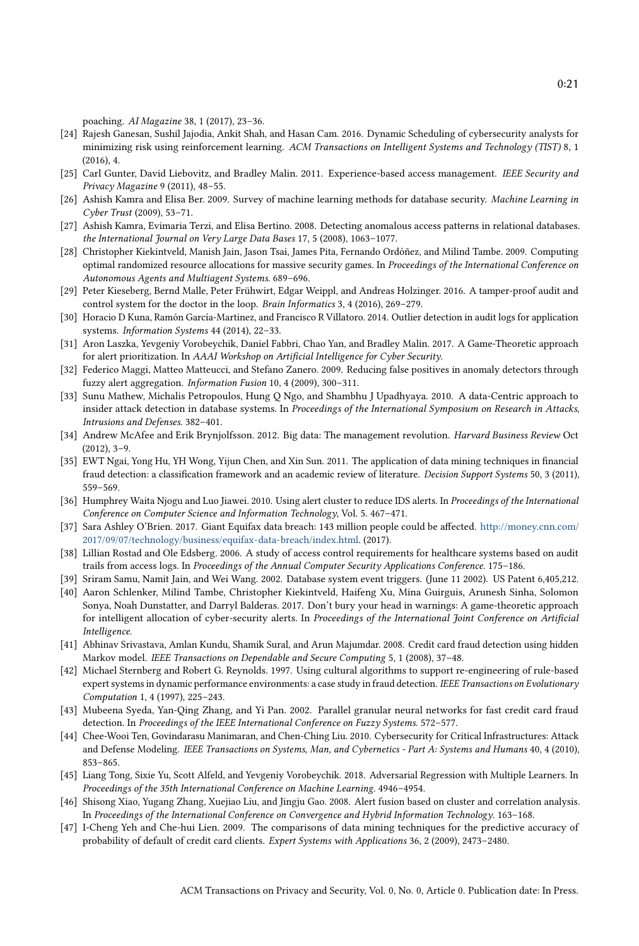poaching. AI Magazine 38, 1 (2017), 23–36.

- <span id="page-20-21"></span>[24] Rajesh Ganesan, Sushil Jajodia, Ankit Shah, and Hasan Cam. 2016. Dynamic Scheduling of cybersecurity analysts for minimizing risk using reinforcement learning. ACM Transactions on Intelligent Systems and Technology (TIST) 8, 1 (2016), 4.
- <span id="page-20-4"></span>[25] Carl Gunter, David Liebovitz, and Bradley Malin. 2011. Experience-based access management. IEEE Security and Privacy Magazine 9 (2011), 48–55.
- <span id="page-20-6"></span>[26] Ashish Kamra and Elisa Ber. 2009. Survey of machine learning methods for database security. Machine Learning in Cyber Trust (2009), 53–71.
- <span id="page-20-7"></span>[27] Ashish Kamra, Evimaria Terzi, and Elisa Bertino. 2008. Detecting anomalous access patterns in relational databases. the International Journal on Very Large Data Bases 17, 5 (2008), 1063–1077.
- <span id="page-20-18"></span>[28] Christopher Kiekintveld, Manish Jain, Jason Tsai, James Pita, Fernando Ordóñez, and Milind Tambe. 2009. Computing optimal randomized resource allocations for massive security games. In Proceedings of the International Conference on Autonomous Agents and Multiagent Systems. 689–696.
- <span id="page-20-23"></span>[29] Peter Kieseberg, Bernd Malle, Peter Frühwirt, Edgar Weippl, and Andreas Holzinger. 2016. A tamper-proof audit and control system for the doctor in the loop. Brain Informatics 3, 4 (2016), 269–279.
- <span id="page-20-3"></span>[30] Horacio D Kuna, Ramón García-Martinez, and Francisco R Villatoro. 2014. Outlier detection in audit logs for application systems. Information Systems 44 (2014), 22–33.
- <span id="page-20-20"></span>[31] Aron Laszka, Yevgeniy Vorobeychik, Daniel Fabbri, Chao Yan, and Bradley Malin. 2017. A Game-Theoretic approach for alert prioritization. In AAAI Workshop on Artificial Intelligence for Cyber Security.
- <span id="page-20-16"></span>[32] Federico Maggi, Matteo Matteucci, and Stefano Zanero. 2009. Reducing false positives in anomaly detectors through fuzzy alert aggregation. Information Fusion 10, 4 (2009), 300–311.
- <span id="page-20-8"></span>[33] Sunu Mathew, Michalis Petropoulos, Hung Q Ngo, and Shambhu J Upadhyaya. 2010. A data-Centric approach to insider attack detection in database systems. In Proceedings of the International Symposium on Research in Attacks, Intrusions and Defenses. 382–401.
- <span id="page-20-0"></span>[34] Andrew McAfee and Erik Brynjolfsson. 2012. Big data: The management revolution. Harvard Business Review Oct (2012), 3–9.
- <span id="page-20-10"></span>[35] EWT Ngai, Yong Hu, YH Wong, Yijun Chen, and Xin Sun. 2011. The application of data mining techniques in financial fraud detection: a classification framework and an academic review of literature. Decision Support Systems 50, 3 (2011), 559–569.
- <span id="page-20-17"></span>[36] Humphrey Waita Njogu and Luo Jiawei. 2010. Using alert cluster to reduce IDS alerts. In Proceedings of the International Conference on Computer Science and Information Technology, Vol. 5. 467–471.
- <span id="page-20-1"></span>[37] Sara Ashley O'Brien. 2017. Giant Equifax data breach: 143 million people could be affected. [http://money.cnn.com/](http://money.cnn.com/2017/09/07/technology/business/equifax-data-breach/index.html) [2017/09/07/technology/business/equifax-data-breach/index.html.](http://money.cnn.com/2017/09/07/technology/business/equifax-data-breach/index.html) (2017).
- <span id="page-20-5"></span>[38] Lillian Rostad and Ole Edsberg. 2006. A study of access control requirements for healthcare systems based on audit trails from access logs. In Proceedings of the Annual Computer Security Applications Conference. 175–186.
- <span id="page-20-9"></span>[39] Sriram Samu, Namit Jain, and Wei Wang. 2002. Database system event triggers. (June 11 2002). US Patent 6,405,212.
- <span id="page-20-22"></span>[40] Aaron Schlenker, Milind Tambe, Christopher Kiekintveld, Haifeng Xu, Mina Guirguis, Arunesh Sinha, Solomon Sonya, Noah Dunstatter, and Darryl Balderas. 2017. Don't bury your head in warnings: A game-theoretic approach for intelligent allocation of cyber-security alerts. In Proceedings of the International Joint Conference on Artificial Intelligence.
- <span id="page-20-11"></span>[41] Abhinav Srivastava, Amlan Kundu, Shamik Sural, and Arun Majumdar. 2008. Credit card fraud detection using hidden Markov model. IEEE Transactions on Dependable and Secure Computing 5, 1 (2008), 37–48.
- <span id="page-20-12"></span>[42] Michael Sternberg and Robert G. Reynolds. 1997. Using cultural algorithms to support re-engineering of rule-based expert systems in dynamic performance environments: a case study in fraud detection. IEEE Transactions on Evolutionary Computation 1, 4 (1997), 225–243.
- <span id="page-20-13"></span>[43] Mubeena Syeda, Yan-Qing Zhang, and Yi Pan. 2002. Parallel granular neural networks for fast credit card fraud detection. In Proceedings of the IEEE International Conference on Fuzzy Systems. 572–577.
- <span id="page-20-2"></span>[44] Chee-Wooi Ten, Govindarasu Manimaran, and Chen-Ching Liu. 2010. Cybersecurity for Critical Infrastructures: Attack and Defense Modeling. IEEE Transactions on Systems, Man, and Cybernetics - Part A: Systems and Humans 40, 4 (2010), 853–865.
- <span id="page-20-19"></span>[45] Liang Tong, Sixie Yu, Scott Alfeld, and Yevgeniy Vorobeychik. 2018. Adversarial Regression with Multiple Learners. In Proceedings of the 35th International Conference on Machine Learning. 4946–4954.
- <span id="page-20-15"></span>[46] Shisong Xiao, Yugang Zhang, Xuejiao Liu, and Jingju Gao. 2008. Alert fusion based on cluster and correlation analysis. In Proceedings of the International Conference on Convergence and Hybrid Information Technology. 163–168.
- <span id="page-20-14"></span>[47] I-Cheng Yeh and Che-hui Lien. 2009. The comparisons of data mining techniques for the predictive accuracy of probability of default of credit card clients. Expert Systems with Applications 36, 2 (2009), 2473–2480.